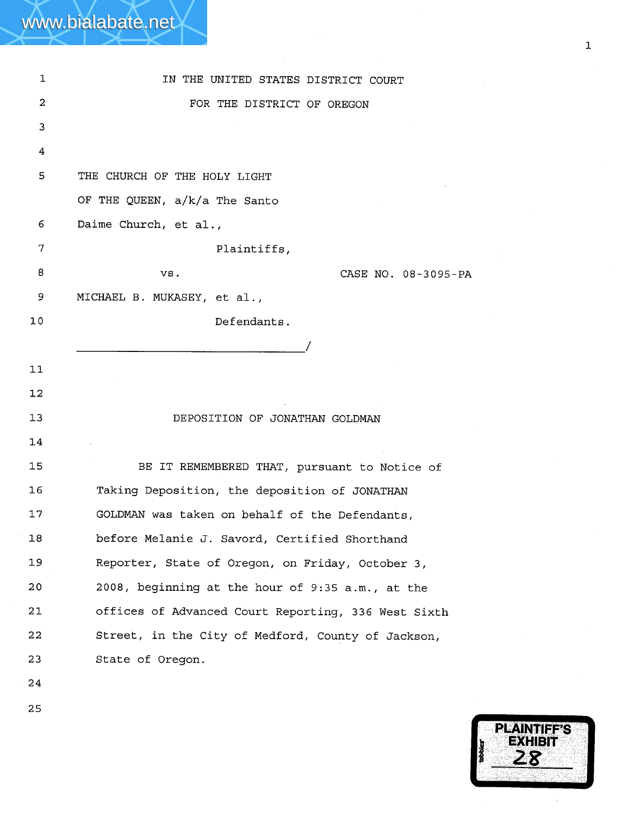|              | www.bialabate.net                                   |
|--------------|-----------------------------------------------------|
|              |                                                     |
| $\mathbf{1}$ | IN THE UNITED STATES DISTRICT COURT                 |
| 2            | FOR THE DISTRICT OF OREGON                          |
| 3            |                                                     |
| 4            |                                                     |
| 5            | THE CHURCH OF THE HOLY LIGHT                        |
|              | OF THE QUEEN, a/k/a The Santo                       |
| 6            | Daime Church, et al.,                               |
| 7            | Plaintiffs,                                         |
| 8            | CASE NO. 08-3095-PA<br>VS.                          |
| 9            | MICHAEL B. MUKASEY, et al.,                         |
| 10           | Defendants.                                         |
|              |                                                     |
| 11           |                                                     |
| 12           |                                                     |
| 13           | DEPOSITION OF JONATHAN GOLDMAN                      |
| 14           |                                                     |
| 15           | BE IT REMEMBERED THAT, pursuant to Notice of        |
| 16           | Taking Deposition, the deposition of JONATHAN       |
| 17           | GOLDMAN was taken on behalf of the Defendants,      |
| 18           | before Melanie J. Savord, Certified Shorthand       |
| 19           | Reporter, State of Oregon, on Friday, October 3,    |
| 20           | 2008, beginning at the hour of 9:35 a.m., at the    |
| 21           | offices of Advanced Court Reporting, 336 West Sixth |
| 22           | Street, in the City of Medford, County of Jackson,  |
| 23           | State of Oregon.                                    |
| 24           |                                                     |

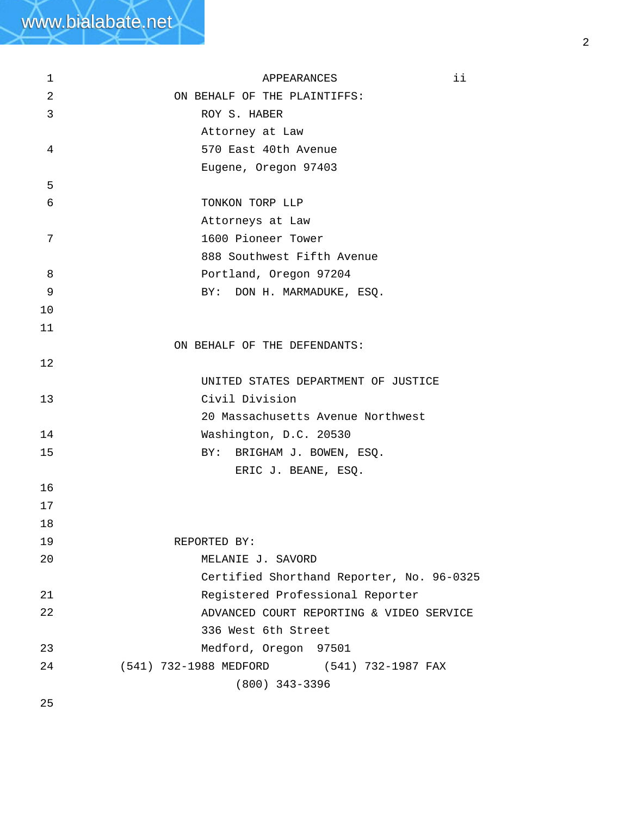| 1  | ii<br>APPEARANCES                         |
|----|-------------------------------------------|
| 2  | ON BEHALF OF THE PLAINTIFFS:              |
| 3  | ROY S. HABER                              |
|    | Attorney at Law                           |
| 4  | 570 East 40th Avenue                      |
|    | Eugene, Oregon 97403                      |
| 5  |                                           |
| 6  | TONKON TORP LLP                           |
|    | Attorneys at Law                          |
| 7  | 1600 Pioneer Tower                        |
|    | 888 Southwest Fifth Avenue                |
| 8  | Portland, Oregon 97204                    |
| 9  | DON H. MARMADUKE, ESQ.<br>BY:             |
| 10 |                                           |
| 11 |                                           |
|    | ON BEHALF OF THE DEFENDANTS:              |
| 12 |                                           |
|    | UNITED STATES DEPARTMENT OF JUSTICE       |
| 13 | Civil Division                            |
|    | 20 Massachusetts Avenue Northwest         |
| 14 | Washington, D.C. 20530                    |
| 15 | BY: BRIGHAM J. BOWEN, ESQ.                |
|    | ERIC J. BEANE, ESQ.                       |
| 16 |                                           |
| 17 |                                           |
| 18 |                                           |
| 19 | REPORTED BY:                              |
| 20 | MELANIE J. SAVORD                         |
|    | Certified Shorthand Reporter, No. 96-0325 |
| 21 | Registered Professional Reporter          |
| 22 | ADVANCED COURT REPORTING & VIDEO SERVICE  |
|    | 336 West 6th Street                       |
| 23 | Medford, Oregon 97501                     |
| 24 | (541) 732-1988 MEDFORD (541) 732-1987 FAX |
|    | $(800)$ 343-3396                          |
| 25 |                                           |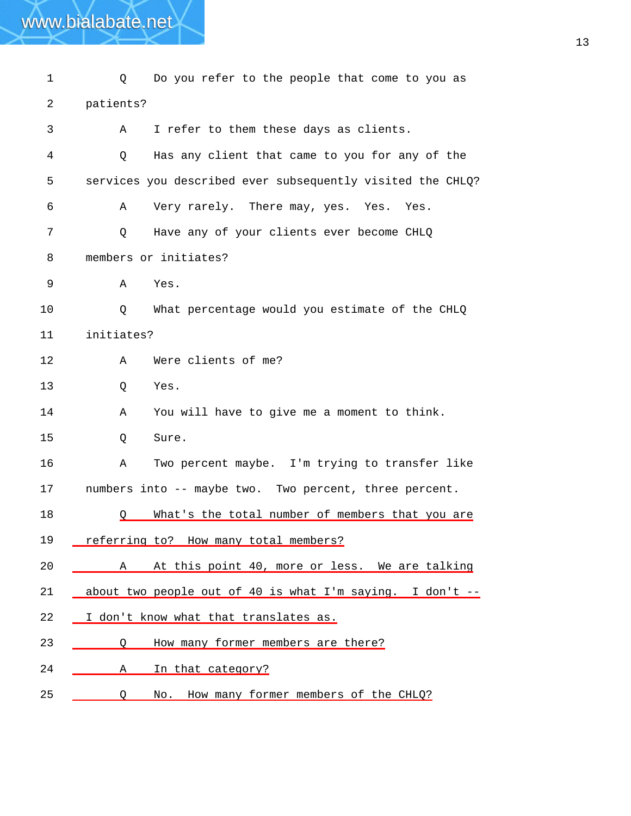1 Q Do you refer to the people that come to you as 2 3 4 5 6 7 8 9 10 11 12 13 14 15 16 17 patients? A I refer to them these days as clients. Q Has any client that came to you for any of the services you described ever subsequently visited the CHLQ? A Very rarely. There may, yes. Yes. Yes. Q Have any of your clients ever become CHLQ members or initiates? A Yes. Q What percentage would you estimate of the CHLQ initiates? A Were clients of me? Q Yes. A You will have to give me a moment to think. Q Sure. A Two percent maybe. I'm trying to transfer like numbers into -- maybe two. Two percent, three percent. 18  $Q$  What's the total number of members that you are 19 referring to? How many total members? 20 \_\_\_\_\_\_ A At this point 40, more or less. We are talking 21 about two people out of 40 is what I'm saying. I don't -- 22 \_\_ I don't know what that translates as. 23 <u>Q</u> How many former members are there? 24 A In that category? 25 Q No. How many former members of the CHLQ?

www.bialabate.net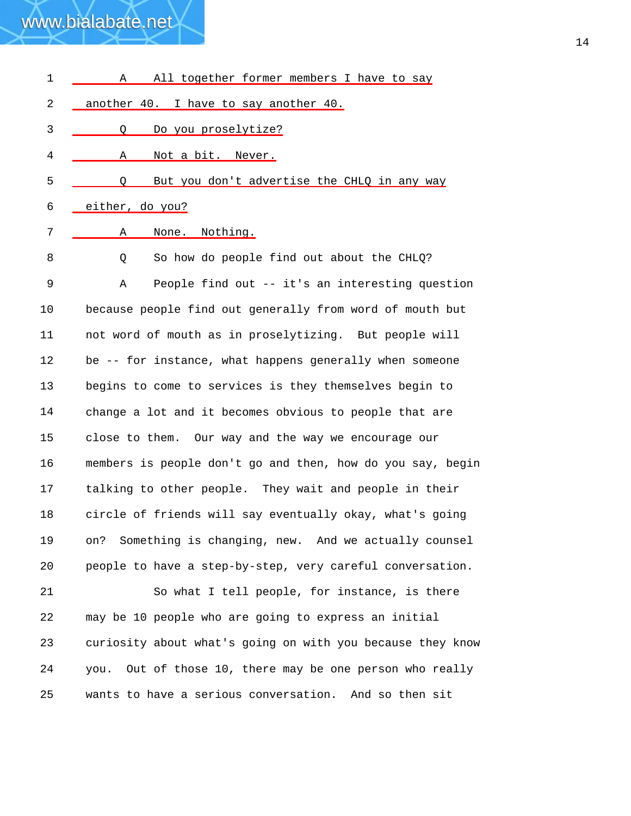| $\mathbf 1$ | All together former members I have to say<br>Α             |
|-------------|------------------------------------------------------------|
| 2           | another 40. I have to say another 40.                      |
| 3           | Do you proselytize?<br>0                                   |
| 4           | Not a bit. Never.<br>Α                                     |
| 5           | But you don't advertise the CHLQ in any way<br>O           |
| 6           | either, do you?                                            |
| 7           | None. Nothing.<br>Α                                        |
| 8           | So how do people find out about the CHLQ?<br>Q             |
| 9           | People find out -- it's an interesting question<br>Α       |
| 10          | because people find out generally from word of mouth but   |
| 11          | not word of mouth as in proselytizing. But people will     |
| 12          | be -- for instance, what happens generally when someone    |
| 13          | begins to come to services is they themselves begin to     |
| 14          | change a lot and it becomes obvious to people that are     |
| 15          | close to them. Our way and the way we encourage our        |
| 16          | members is people don't go and then, how do you say, begin |
| 17          | talking to other people. They wait and people in their     |
| 18          | circle of friends will say eventually okay, what's going   |
| 19          | Something is changing, new. And we actually counsel<br>on? |
| 20          | people to have a step-by-step, very careful conversation.  |
| 21          | So what I tell people, for instance, is there              |
| 22          | may be 10 people who are going to express an initial       |
| 23          | curiosity about what's going on with you because they know |
| 24          | you. Out of those 10, there may be one person who really   |
| 25          | wants to have a serious conversation. And so then sit      |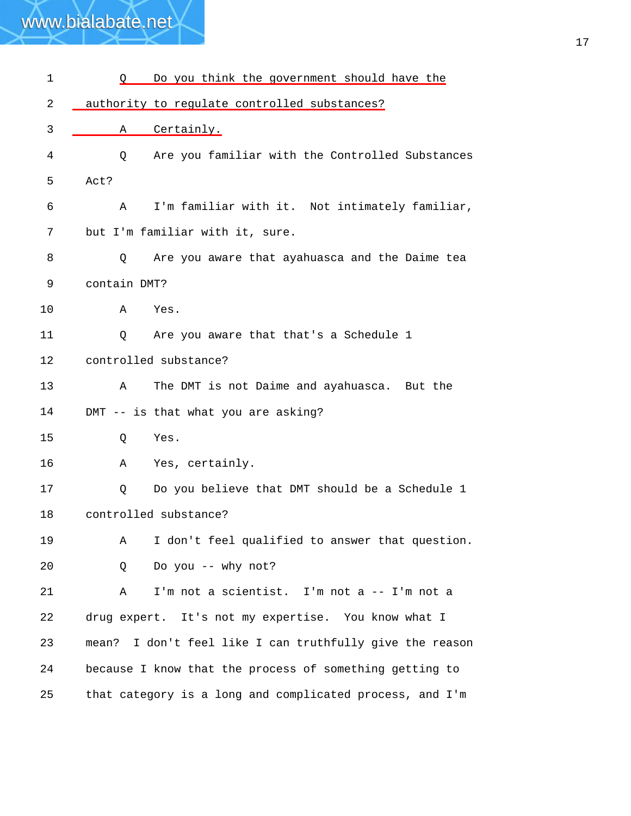| 1  | Do you think the government should have the<br>Q            |
|----|-------------------------------------------------------------|
| 2  | authority to regulate controlled substances?                |
| 3  | Certainly.<br>Α                                             |
| 4  | Are you familiar with the Controlled Substances<br>Q        |
| 5  | Act?                                                        |
| 6  | I'm familiar with it. Not intimately familiar,<br>Α         |
| 7  | but I'm familiar with it, sure.                             |
| 8  | Are you aware that ayahuasca and the Daime tea<br>Q         |
| 9  | contain DMT?                                                |
| 10 | Α<br>Yes.                                                   |
| 11 | Are you aware that that's a Schedule 1<br>Q                 |
| 12 | controlled substance?                                       |
| 13 | The DMT is not Daime and ayahuasca. But the<br>Α            |
| 14 | DMT -- is that what you are asking?                         |
| 15 | Q<br>Yes.                                                   |
| 16 | Yes, certainly.<br>Α                                        |
| 17 | Do you believe that DMT should be a Schedule 1<br>Q         |
| 18 | controlled substance?                                       |
| 19 | I don't feel qualified to answer that question.<br>Α        |
| 20 | Do you -- why not?<br>Q                                     |
| 21 | I'm not a scientist. I'm not a -- I'm not a<br>Α            |
| 22 | drug expert. It's not my expertise. You know what I         |
| 23 | I don't feel like I can truthfully give the reason<br>mean? |
| 24 | because I know that the process of something getting to     |
| 25 | that category is a long and complicated process, and I'm    |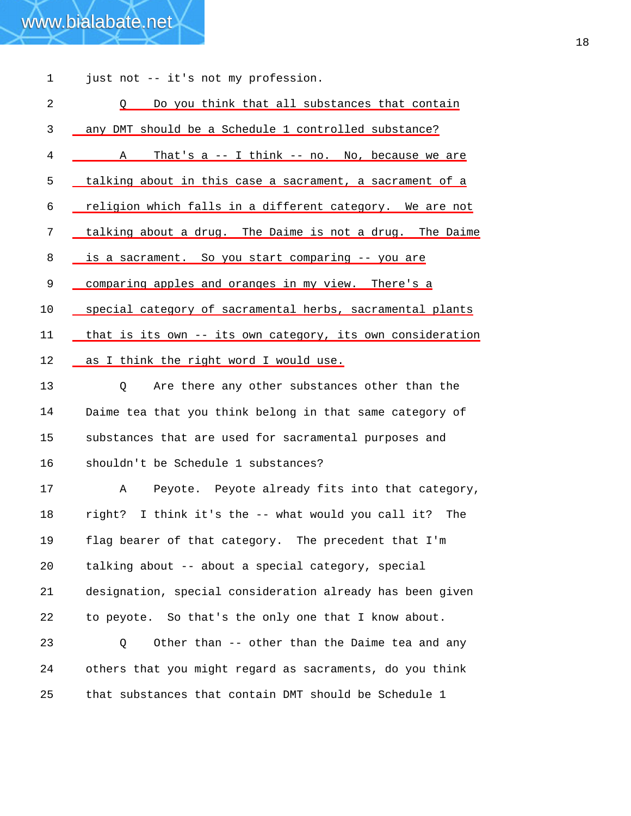| 1  | just not -- it's not my profession.                        |
|----|------------------------------------------------------------|
| 2  | Do you think that all substances that contain<br>$\circ$   |
| 3  | any DMT should be a Schedule 1 controlled substance?       |
| 4  | That's $a - I$ think -- no. No, because we are<br>A        |
| 5  | talking about in this case a sacrament, a sacrament of a   |
| 6  | religion which falls in a different category. We are not   |
| 7  | talking about a drug. The Daime is not a drug. The Daime   |
| 8  | is a sacrament. So you start comparing -- you are          |
| 9  | comparing apples and oranges in my view. There's a         |
| 10 | special category of sacramental herbs, sacramental plants  |
| 11 | that is its own -- its own category, its own consideration |
| 12 | as I think the right word I would use.                     |
| 13 | Are there any other substances other than the<br>Q         |
| 14 | Daime tea that you think belong in that same category of   |
| 15 | substances that are used for sacramental purposes and      |
| 16 | shouldn't be Schedule 1 substances?                        |
| 17 | Peyote. Peyote already fits into that category,<br>Α       |
| 18 | right? I think it's the -- what would you call it? The     |
| 19 | flag bearer of that category. The precedent that I'm       |
| 20 | talking about -- about a special category, special         |
| 21 | designation, special consideration already has been given  |
| 22 | to peyote. So that's the only one that I know about.       |
| 23 | Other than -- other than the Daime tea and any<br>Q        |
| 24 | others that you might regard as sacraments, do you think   |
| 25 | that substances that contain DMT should be Schedule 1      |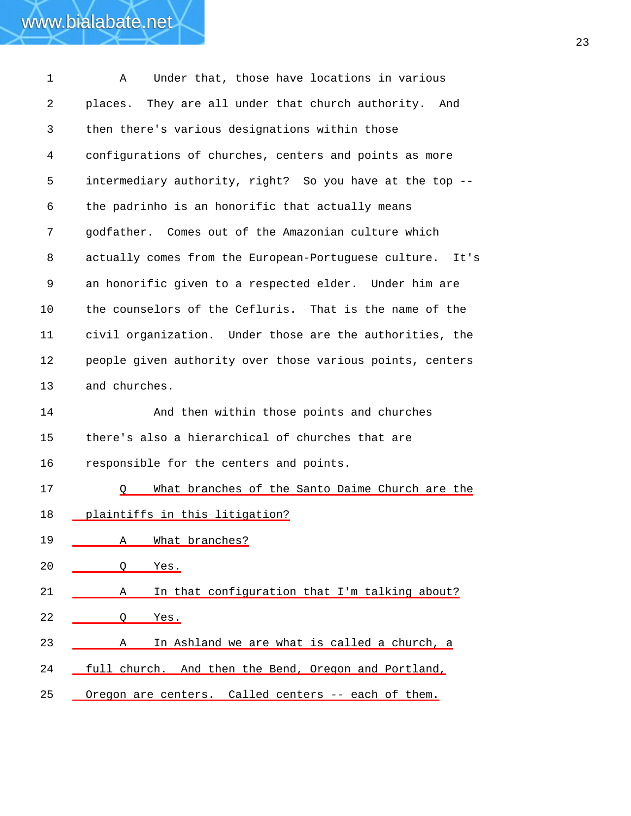| $\mathbf 1$ | Under that, those have locations in various<br>Α          |
|-------------|-----------------------------------------------------------|
| 2           | They are all under that church authority. And<br>places.  |
| 3           | then there's various designations within those            |
| 4           | configurations of churches, centers and points as more    |
| 5           | intermediary authority, right? So you have at the top --  |
| 6           | the padrinho is an honorific that actually means          |
| 7           | godfather. Comes out of the Amazonian culture which       |
| 8           | actually comes from the European-Portuguese culture. It's |
| 9           | an honorific given to a respected elder. Under him are    |
| 10          | the counselors of the Cefluris. That is the name of the   |
| 11          | civil organization. Under those are the authorities, the  |
| 12          | people given authority over those various points, centers |
| 13          | and churches.                                             |
| 14          | And then within those points and churches                 |
| 15          | there's also a hierarchical of churches that are          |
| 16          | responsible for the centers and points.                   |
| 17          | What branches of the Santo Daime Church are the           |
| 18          | plaintiffs in this litigation?                            |
| 19          | What branches?<br>Α                                       |
| 20          | O<br><u>Yes.</u>                                          |
| 21          | In that configuration that I'm talking about?<br>A        |
| 22          | Q<br>Yes.                                                 |
| 23          | In Ashland we are what is called a church, a<br>Α         |
| 24          | full church. And then the Bend, Oregon and Portland,      |
| 25          | Oregon are centers. Called centers -- each of them.       |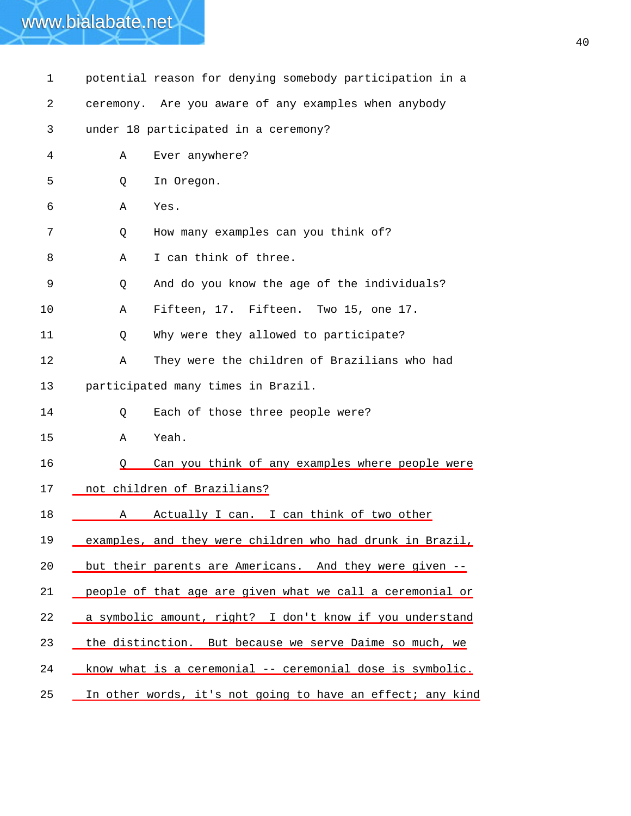| 1  | potential reason for denying somebody participation in a   |
|----|------------------------------------------------------------|
| 2  | ceremony. Are you aware of any examples when anybody       |
| 3  | under 18 participated in a ceremony?                       |
| 4  | Ever anywhere?<br>Α                                        |
| 5  | In Oregon.<br>Q                                            |
| 6  | Α<br>Yes.                                                  |
| 7  | How many examples can you think of?<br>Q                   |
| 8  | I can think of three.<br>Α                                 |
| 9  | And do you know the age of the individuals?<br>Q           |
| 10 | Fifteen, 17. Fifteen. Two 15, one 17.<br>Α                 |
| 11 | Why were they allowed to participate?<br>Q                 |
| 12 | They were the children of Brazilians who had<br>Α          |
| 13 | participated many times in Brazil.                         |
| 14 | Each of those three people were?<br>Q                      |
| 15 | Yeah.<br>Α                                                 |
| 16 | Can you think of any examples where people were<br>O       |
| 17 | not children of Brazilians?                                |
| 18 | Actually I can. I can think of two other<br>Α              |
| 19 | examples, and they were children who had drunk in Brazil,  |
| 20 | but their parents are Americans. And they were given --    |
| 21 | people of that age are given what we call a ceremonial or  |
| 22 | a symbolic amount, right? I don't know if you understand   |
| 23 | the distinction. But because we serve Daime so much, we    |
| 24 | know what is a ceremonial -- ceremonial dose is symbolic.  |
| 25 | In other words, it's not going to have an effect; any kind |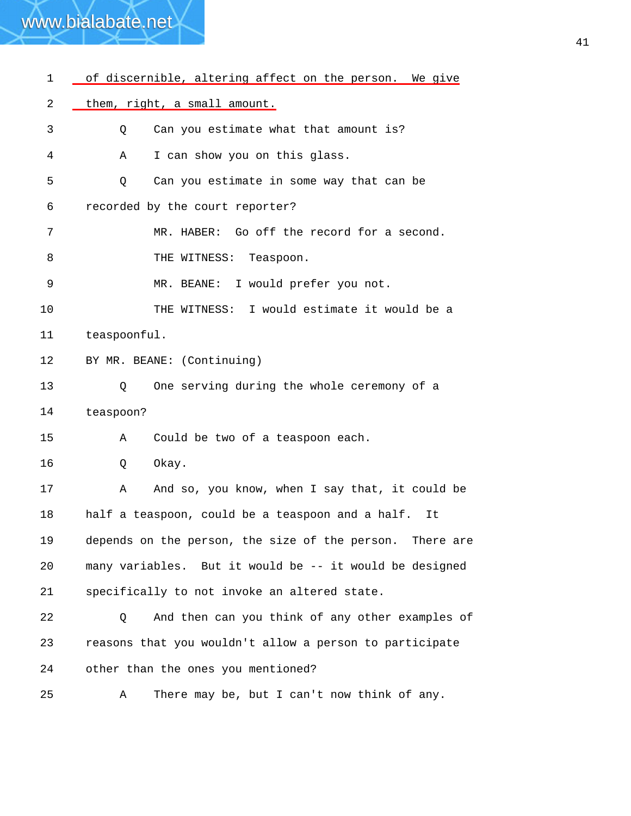| 1  | of discernible, altering affect on the person. We give   |
|----|----------------------------------------------------------|
| 2  | them, right, a small amount.                             |
| 3  | Can you estimate what that amount is?<br>Q               |
| 4  | I can show you on this glass.<br>Α                       |
| 5  | Can you estimate in some way that can be<br>Q            |
| 6  | recorded by the court reporter?                          |
| 7  | MR. HABER: Go off the record for a second.               |
| 8  | THE WITNESS:<br>Teaspoon.                                |
| 9  | MR. BEANE: I would prefer you not.                       |
| 10 | THE WITNESS: I would estimate it would be a              |
| 11 | teaspoonful.                                             |
| 12 | BY MR. BEANE: (Continuing)                               |
| 13 | One serving during the whole ceremony of a<br>Q          |
| 14 | teaspoon?                                                |
| 15 | Could be two of a teaspoon each.<br>Α                    |
| 16 | Okay.<br>Q                                               |
| 17 | And so, you know, when I say that, it could be<br>Α      |
| 18 | half a teaspoon, could be a teaspoon and a half.<br>It   |
| 19 | depends on the person, the size of the person. There are |
| 20 | many variables. But it would be -- it would be designed  |
| 21 | specifically to not invoke an altered state.             |
| 22 | And then can you think of any other examples of<br>Q     |
| 23 | reasons that you wouldn't allow a person to participate  |
| 24 | other than the ones you mentioned?                       |
| 25 | There may be, but I can't now think of any.<br>Α         |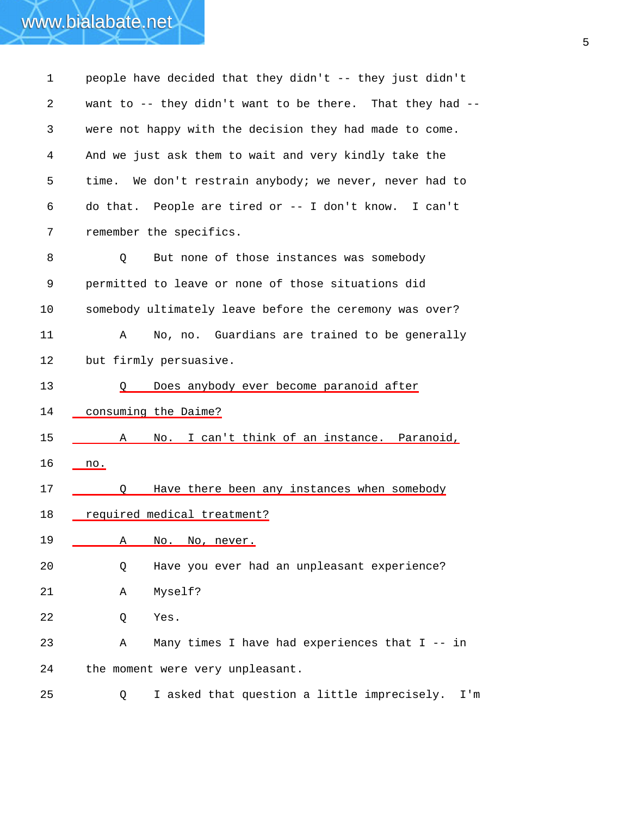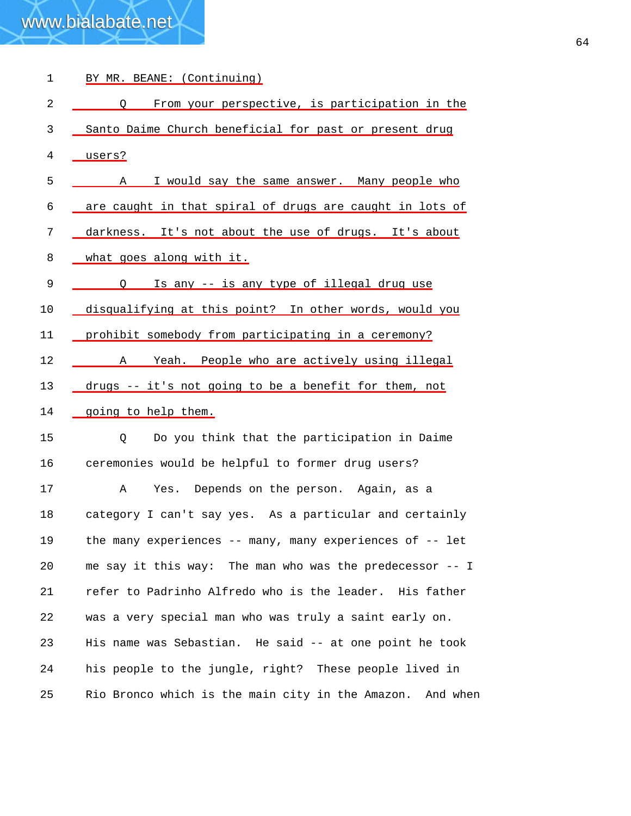| 1  | BY MR. BEANE: (Continuing)                                |
|----|-----------------------------------------------------------|
| 2  | From your perspective, is participation in the<br>$\circ$ |
| 3  | Santo Daime Church beneficial for past or present drug    |
| 4  | users?                                                    |
| 5  | I would say the same answer. Many people who<br>A         |
| 6  | are caught in that spiral of drugs are caught in lots of  |
| 7  | darkness. It's not about the use of drugs. It's about     |
| 8  | what goes along with it.                                  |
| 9  | Is any -- is any type of illegal drug use<br>O            |
| 10 | disqualifying at this point? In other words, would you    |
| 11 | prohibit somebody from participating in a ceremony?       |
| 12 | Yeah. People who are actively using illegal<br>A          |
| 13 | drugs -- it's not going to be a benefit for them, not     |
| 14 | going to help them.                                       |
| 15 | Do you think that the participation in Daime<br>Q         |
| 16 | ceremonies would be helpful to former drug users?         |
| 17 | Yes. Depends on the person. Again, as a<br>Α              |
| 18 | category I can't say yes. As a particular and certainly   |
| 19 | the many experiences -- many, many experiences of -- let  |
| 20 | me say it this way: The man who was the predecessor -- I  |
| 21 | refer to Padrinho Alfredo who is the leader. His father   |
| 22 | was a very special man who was truly a saint early on.    |
| 23 | His name was Sebastian. He said -- at one point he took   |
| 24 | his people to the jungle, right? These people lived in    |
| 25 | Rio Bronco which is the main city in the Amazon. And when |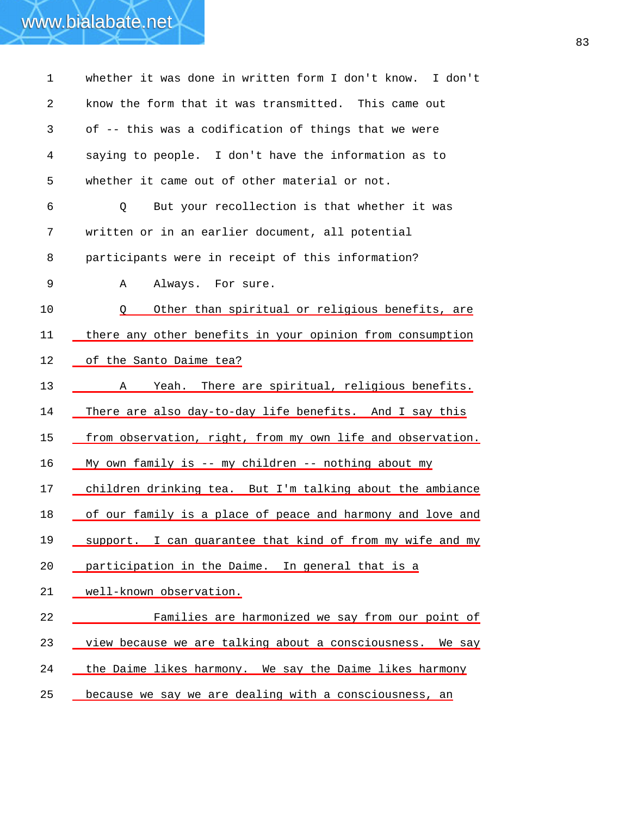### 1 whether it was done in written form I don't know. I don't 2 3 4 5 6 7 8 9 know the form that it was transmitted. This came out of -- this was a codification of things that we were saying to people. I don't have the information as to whether it came out of other material or not. Q But your recollection is that whether it was written or in an earlier document, all potential participants were in receipt of this information? A Always. For sure. 10 Q Other than spiritual or religious benefits, are 11 there any other benefits in your opinion from consumption 12 of the Santo Daime tea? 13 \_\_\_\_\_\_\_ A Yeah. There are spiritual, religious benefits. 14 There are also day-to-day life benefits. And I say this 15 from observation, right, from my own life and observation. 16 My own family is -- my children -- nothing about my 17 children drinking tea. But I'm talking about the ambiance 18 of our family is a place of peace and harmony and love and 19 support. I can guarantee that kind of from my wife and my 20 <u>participation in the Daime. In general that is a</u> 21 well-known observation. 22 Families are harmonized we say from our point of 23 <u>view because we are talking about a consciousness.</u> We say 24 the Daime likes harmony. We say the Daime likes harmony 25 because we say we are dealing with a consciousness, an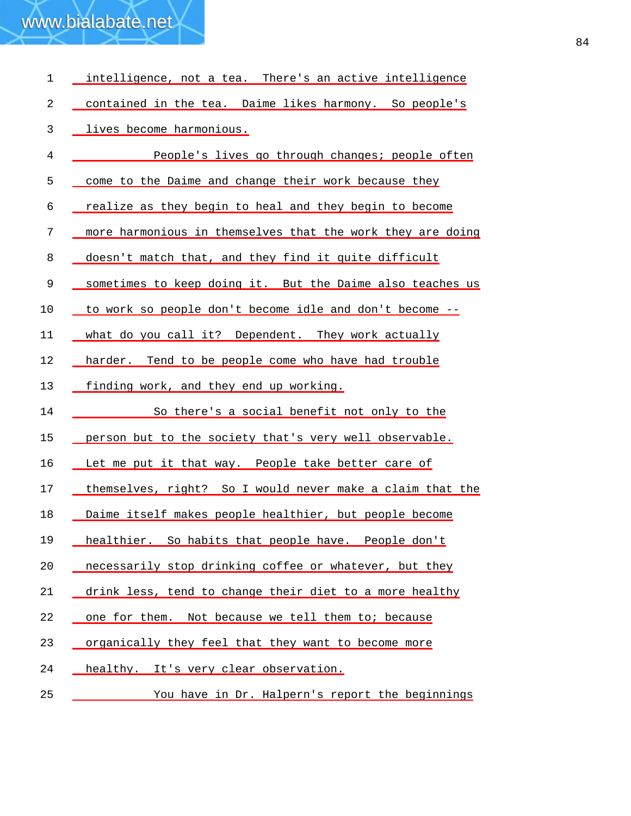| 1          | intelligence, not a tea. There's an active intelligence    |
|------------|------------------------------------------------------------|
| $\sqrt{2}$ | contained in the tea. Daime likes harmony. So people's     |
| 3          | lives become harmonious.                                   |
| 4          | People's lives go through changes; people often            |
| 5          | come to the Daime and change their work because they       |
| 6          | realize as they begin to heal and they begin to become     |
| 7          | more harmonious in themselves that the work they are doing |
| 8          | doesn't match that, and they find it quite difficult       |
| 9          | sometimes to keep doing it. But the Daime also teaches us  |
| 10         | to work so people don't become idle and don't become --    |
| 11         | what do you call it? Dependent. They work actually         |
| 12         | harder. Tend to be people come who have had trouble        |
| 13         | finding work, and they end up working.                     |
| 14         | So there's a social benefit not only to the                |
| 15         | person but to the society that's very well observable.     |
| 16         | Let me put it that way. People take better care of         |
| 17         | themselves, right? So I would never make a claim that the  |
| 18         | Daime itself makes people healthier, but people become     |
| 19         | healthier. So habits that people have. People don't        |
| 20         | necessarily stop drinking coffee or whatever, but they     |
| 21         | drink less, tend to change their diet to a more healthy    |
| 22         | one for them. Not because we tell them to; because         |
| 23         | organically they feel that they want to become more        |
| 24         | healthy. It's very clear observation.                      |
| 25         | You have in Dr. Halpern's report the beginnings            |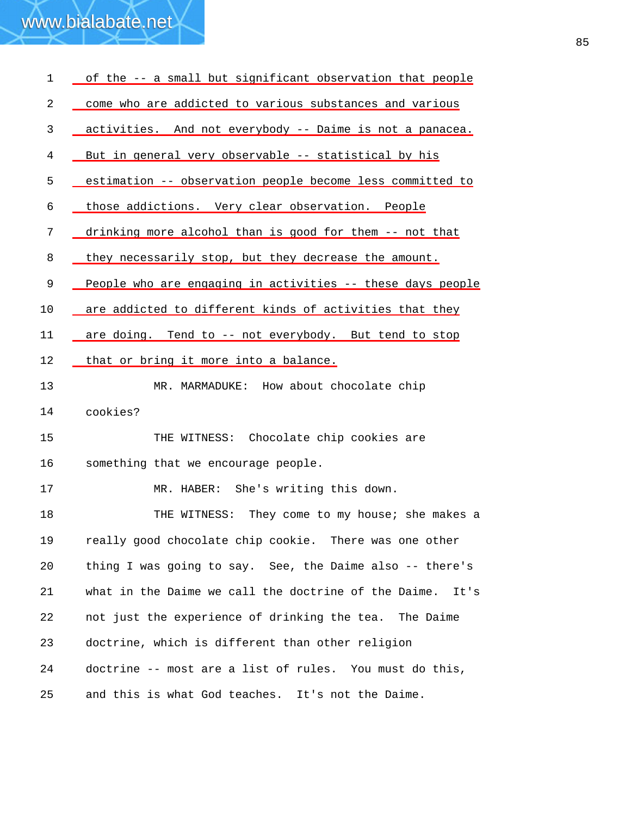| $\mathbf 1$ | of the -- a small but significant observation that people    |
|-------------|--------------------------------------------------------------|
| 2           | come who are addicted to various substances and various      |
| 3           | activities. And not everybody -- Daime is not a panacea.     |
| 4           | But in general very observable -- statistical by his         |
| 5           | estimation -- observation people become less committed to    |
| 6           | those addictions. Very clear observation. People             |
| 7           | drinking more alcohol than is good for them -- not that      |
| 8           | they necessarily stop, but they decrease the amount.         |
| 9           | People who are engaging in activities -- these days people   |
| 10          | are addicted to different kinds of activities that they      |
| 11          | are doing. Tend to -- not everybody. But tend to stop        |
| 12          | that or bring it more into a balance.                        |
| 13          | MR. MARMADUKE: How about chocolate chip                      |
| 14          | cookies?                                                     |
| 15          | THE WITNESS: Chocolate chip cookies are                      |
| 16          | something that we encourage people.                          |
| 17          | MR. HABER: She's writing this down.                          |
| 18          | They come to my house; she makes a<br>THE WITNESS:           |
| 19          | really good chocolate chip cookie. There was one other       |
| 20          | thing I was going to say. See, the Daime also -- there's     |
| 21          | what in the Daime we call the doctrine of the Daime.<br>It's |
| 22          | not just the experience of drinking the tea.<br>The Daime    |
| 23          | doctrine, which is different than other religion             |
| 24          | doctrine -- most are a list of rules. You must do this,      |
| 25          | and this is what God teaches. It's not the Daime.            |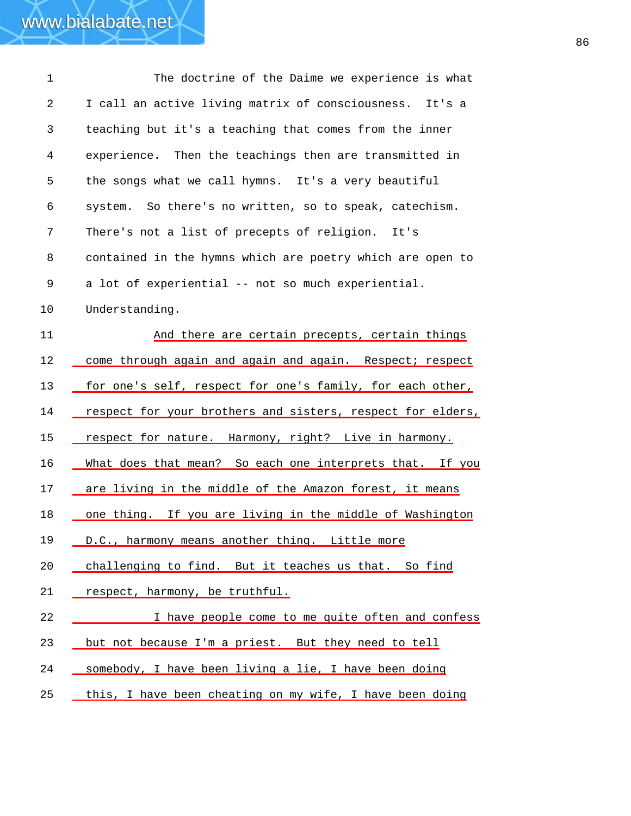1 The doctrine of the Daime we experience is what 2 3 4 5 6 7 8 9 10 I call an active living matrix of consciousness. It's a teaching but it's a teaching that comes from the inner experience. Then the teachings then are transmitted in the songs what we call hymns. It's a very beautiful system. So there's no written, so to speak, catechism. There's not a list of precepts of religion. It's contained in the hymns which are poetry which are open to a lot of experiential -- not so much experiential. Understanding. 11 And there are certain precepts, certain things 12 come through again and again and again. Respect; respect 13 for one's self, respect for one's family, for each other, 14 respect for your brothers and sisters, respect for elders, 15 respect for nature. Harmony, right? Live in harmony. 16 What does that mean? So each one interprets that. If you 17 are living in the middle of the Amazon forest, it means 18 \_ one thing. If you are living in the middle of Washington 19 D.C., harmony means another thing. Little more 20 challenging to find. But it teaches us that. So find 21 respect, harmony, be truthful. 22 I have people come to me quite often and confess 23 but not because I'm a priest. But they need to tell 24 somebody, I have been living a lie, I have been doing 25 this, I have been cheating on my wife, I have been doing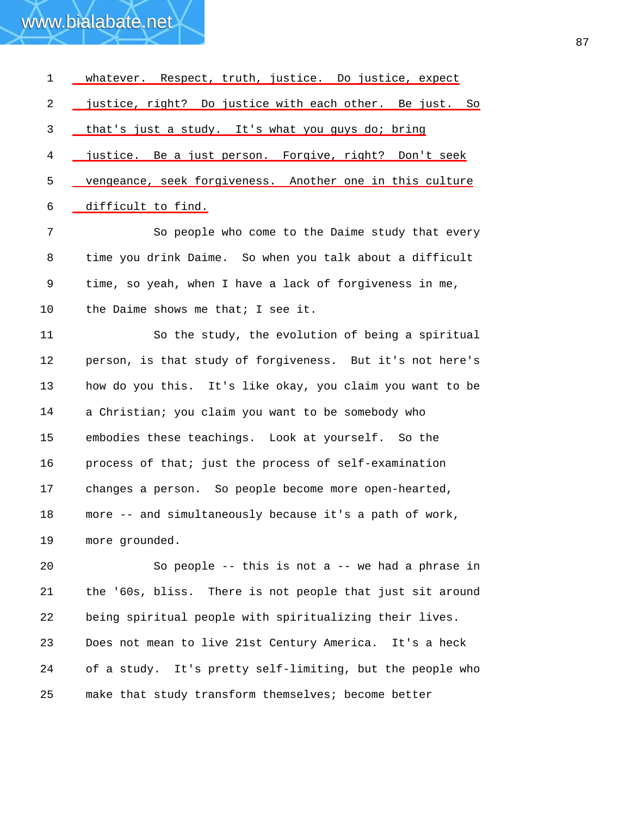| $\mathbf 1$ | whatever. Respect, truth, justice. Do justice, expect     |
|-------------|-----------------------------------------------------------|
| 2           | justice, right? Do justice with each other. Be just. So   |
| 3           | that's just a study. It's what you guys do; bring         |
| 4           | justice. Be a just person. Forgive, right? Don't seek     |
| 5           | vengeance, seek forgiveness. Another one in this culture  |
| 6           | difficult to find.                                        |
| 7           | So people who come to the Daime study that every          |
| 8           | time you drink Daime. So when you talk about a difficult  |
| 9           | time, so yeah, when I have a lack of forgiveness in me,   |
| 10          | the Daime shows me that; I see it.                        |
| 11          | So the study, the evolution of being a spiritual          |
| 12          | person, is that study of forgiveness. But it's not here's |
| 13          | how do you this. It's like okay, you claim you want to be |
| 14          | a Christian; you claim you want to be somebody who        |
| 15          | embodies these teachings. Look at yourself. So the        |
| 16          | process of that; just the process of self-examination     |
| 17          | changes a person. So people become more open-hearted,     |
| 18          | more -- and simultaneously because it's a path of work,   |
| 19          | more grounded.                                            |
| 20          | So people -- this is not a -- we had a phrase in          |

21 22 23 24 25 the '60s, bliss. There is not people that just sit around being spiritual people with spiritualizing their lives. Does not mean to live 21st Century America. It's a heck of a study. It's pretty self-limiting, but the people who make that study transform themselves; become better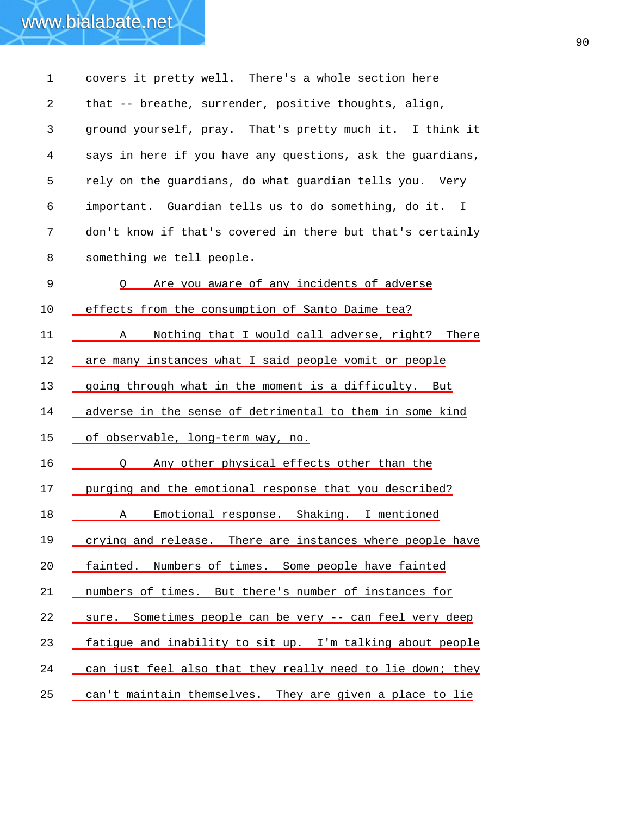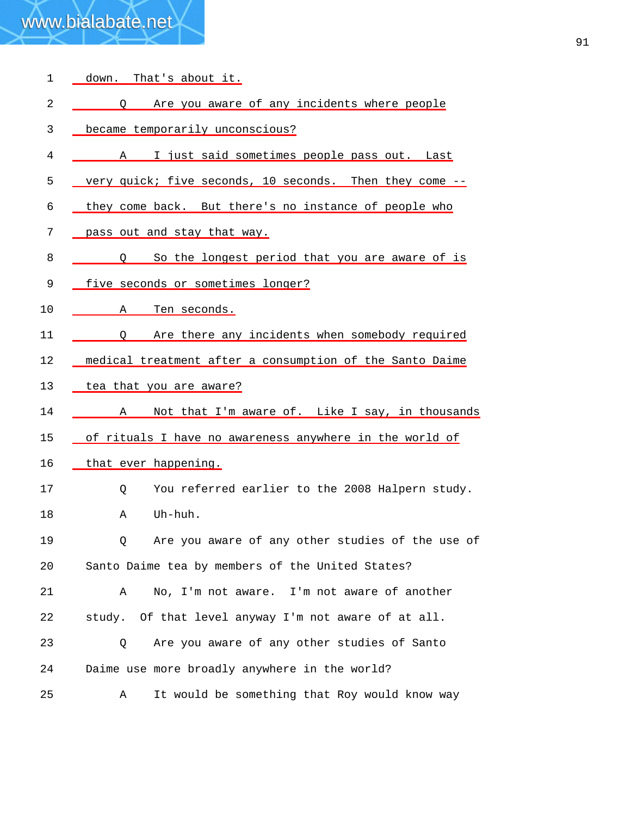| $\mathbf{1}$ | down. That's about it.                                          |
|--------------|-----------------------------------------------------------------|
| 2            | Are you aware of any incidents where people<br>$\circ$          |
| 3            | became temporarily unconscious?                                 |
| 4            | I just said sometimes people pass out. Last<br>A                |
| 5            | very quick; five seconds, 10 seconds. Then they come --         |
| 6            | they come back. But there's no instance of people who           |
| 7            | pass out and stay that way.                                     |
| 8            | Q So the longest period that you are aware of is                |
| 9            | five seconds or sometimes longer?                               |
| 10           | $\mathbf{A}$<br><u>Ten seconds.</u>                             |
| 11           | Q Are there any incidents when somebody required                |
| 12           | medical treatment after a consumption of the Santo Daime        |
| 13           | tea that you are aware?                                         |
| 14           | Not that I'm aware of. Like I say, in thousands<br>$A \quad \_$ |
| 15           | of rituals I have no awareness anywhere in the world of         |
| 16           | that ever happening.                                            |
| 17           | You referred earlier to the 2008 Halpern study.<br>Q            |
| 18           | Uh-huh.<br>Α                                                    |
| 19           | Are you aware of any other studies of the use of<br>Q           |
| 20           | Santo Daime tea by members of the United States?                |
| 21           | No, I'm not aware. I'm not aware of another<br>Α                |
| 22           | study. Of that level anyway I'm not aware of at all.            |
| 23           | Are you aware of any other studies of Santo<br>Q                |
|              |                                                                 |
| 24           | Daime use more broadly anywhere in the world?                   |
| 25           | It would be something that Roy would know way<br>Α              |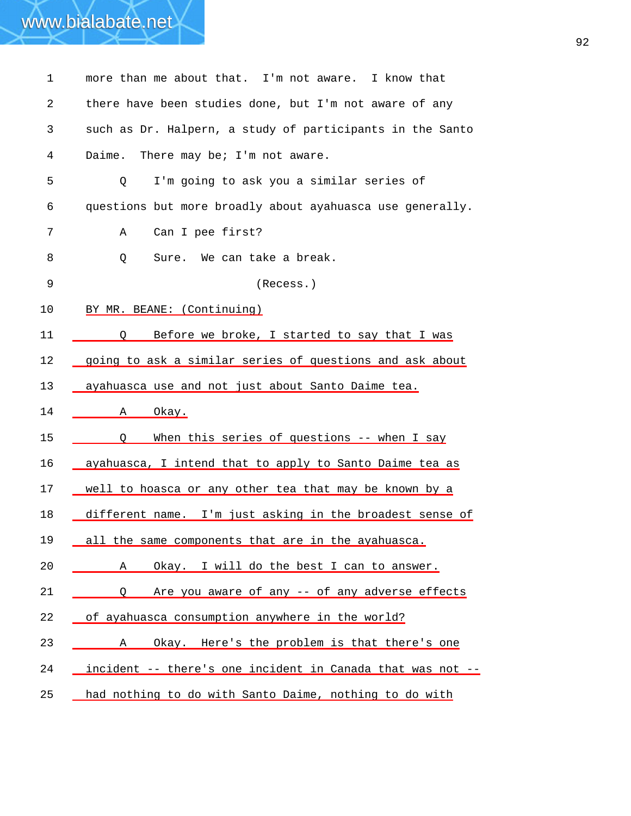| $\mathbf{1}$ | more than me about that. I'm not aware. I know that        |
|--------------|------------------------------------------------------------|
| 2            | there have been studies done, but I'm not aware of any     |
| 3            | such as Dr. Halpern, a study of participants in the Santo  |
| 4            | There may be; I'm not aware.<br>Daime.                     |
| 5            | I'm going to ask you a similar series of<br>Q              |
| 6            | questions but more broadly about ayahuasca use generally.  |
| 7            | Can I pee first?<br>Α                                      |
| 8            | Sure. We can take a break.<br>Q                            |
| 9            | (Recess.)                                                  |
| 10           | BY MR. BEANE: (Continuing)                                 |
| 11           | Before we broke, I started to say that I was<br>$\circ$    |
| 12           | going to ask a similar series of questions and ask about   |
| 13           | ayahuasca use and not just about Santo Daime tea.          |
| 14           | Okay.<br>Α                                                 |
| 15           | When this series of questions -- when I say<br>O           |
| 16           | ayahuasca, I intend that to apply to Santo Daime tea as    |
| 17           | well to hoasca or any other tea that may be known by a     |
| 18           | different name. I'm just asking in the broadest sense of   |
| 19           | all the same components that are in the ayahuasca.         |
| 20           | Okay. I will do the best I can to answer.<br>Α             |
| 21           | Are you aware of any -- of any adverse effects<br>O        |
| 22           | of ayahuasca consumption anywhere in the world?            |
| 23           | Okay. Here's the problem is that there's one<br>A          |
| 24           | incident -- there's one incident in Canada that was not -- |
| 25           | had nothing to do with Santo Daime, nothing to do with     |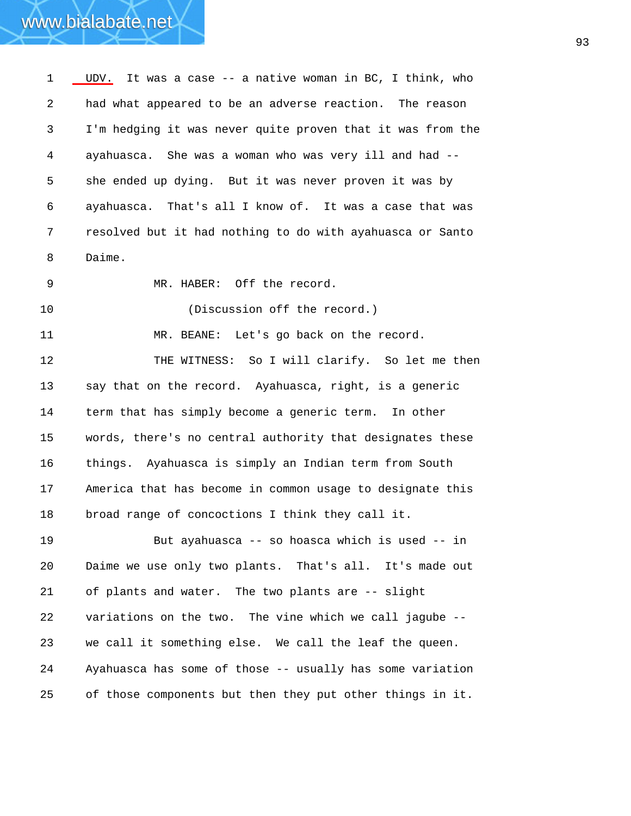1 UDV. It was a case -- a native woman in BC, I think, who 2 3 4 5 6 7 8 had what appeared to be an adverse reaction. The reason I'm hedging it was never quite proven that it was from the ayahuasca. She was a woman who was very ill and had - she ended up dying. But it was never proven it was by ayahuasca. That's all I know of. It was a case that was resolved but it had nothing to do with ayahuasca or Santo Daime.

9

MR. HABER: Off the record.

10 (Discussion off the record.)

11 12 13 14 15 16 17 18 MR. BEANE: Let's go back on the record. THE WITNESS: So I will clarify. So let me then say that on the record. Ayahuasca, right, is a generic term that has simply become a generic term. In other words, there's no central authority that designates these things. Ayahuasca is simply an Indian term from South America that has become in common usage to designate this broad range of concoctions I think they call it.

19 20 21 22 23 24 25 But ayahuasca -- so hoasca which is used -- in Daime we use only two plants. That's all. It's made out of plants and water. The two plants are -- slight variations on the two. The vine which we call jagube - we call it something else. We call the leaf the queen. Ayahuasca has some of those -- usually has some variation of those components but then they put other things in it.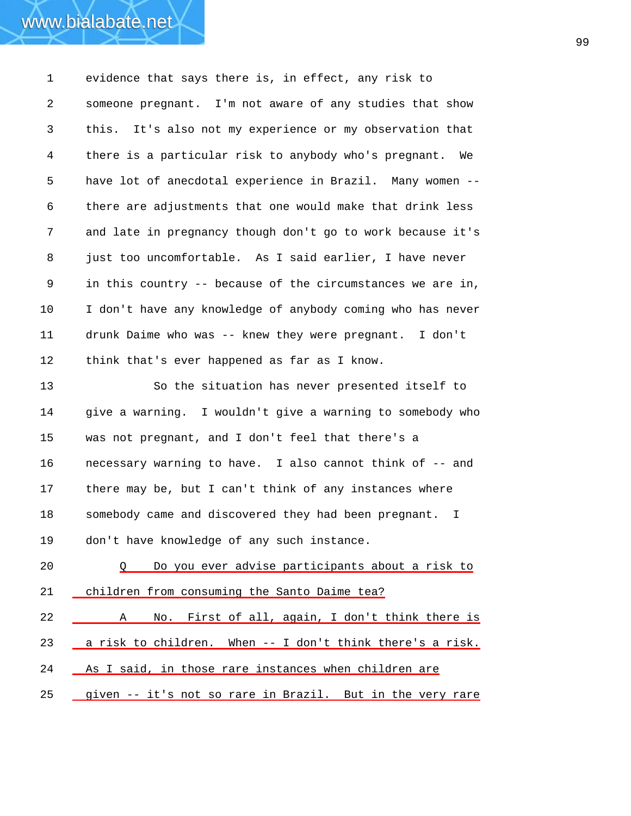1 evidence that says there is, in effect, any risk to 2 3 4 5 6 7 8 9 10 11 someone pregnant. I'm not aware of any studies that show this. It's also not my experience or my observation that there is a particular risk to anybody who's pregnant. We have lot of anecdotal experience in Brazil. Many women - there are adjustments that one would make that drink less and late in pregnancy though don't go to work because it's just too uncomfortable. As I said earlier, I have never in this country -- because of the circumstances we are in, I don't have any knowledge of anybody coming who has never drunk Daime who was -- knew they were pregnant. I don't

12 think that's ever happened as far as I know.

www.bialabate.net

13 14 15 16 17 18 19 So the situation has never presented itself to give a warning. I wouldn't give a warning to somebody who was not pregnant, and I don't feel that there's a necessary warning to have. I also cannot think of -- and there may be, but I can't think of any instances where somebody came and discovered they had been pregnant. I don't have knowledge of any such instance.

20 Q Do you ever advise participants about a risk to 21 children from consuming the Santo Daime tea?

22 A No. First of all, again, I don't think there is 23 <u>a risk to children.</u> When -- I don't think there's a risk. 24 As I said, in those rare instances when children are 25 given -- it's not so rare in Brazil. But in the very rare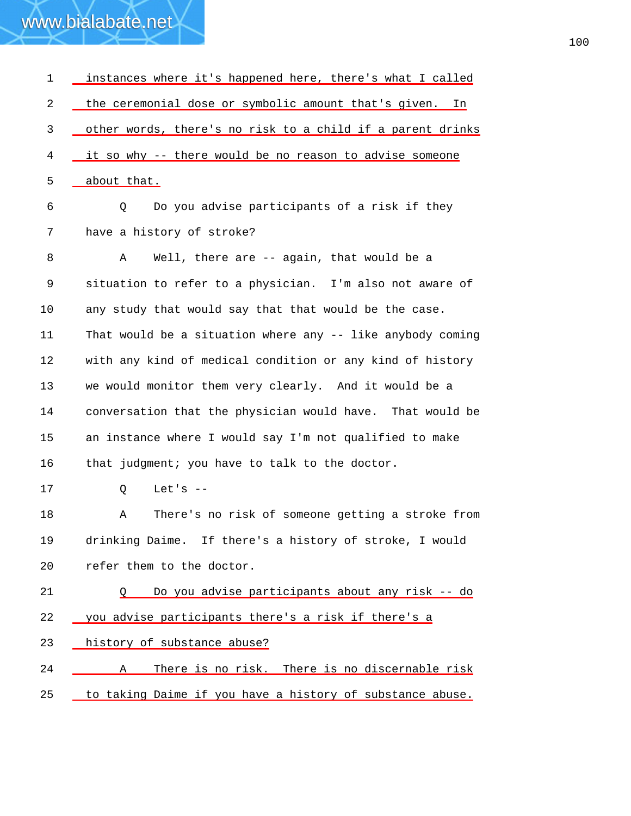| 1  | instances where it's happened here, there's what I called  |
|----|------------------------------------------------------------|
| 2  | the ceremonial dose or symbolic amount that's given. In    |
| 3  | other words, there's no risk to a child if a parent drinks |
| 4  | it so why -- there would be no reason to advise someone    |
| 5  | about that.                                                |
| 6  | Do you advise participants of a risk if they<br>Q          |
| 7  | have a history of stroke?                                  |
| 8  | Well, there are -- again, that would be a<br>Α             |
| 9  | situation to refer to a physician. I'm also not aware of   |
| 10 | any study that would say that that would be the case.      |
| 11 | That would be a situation where any -- like anybody coming |
| 12 | with any kind of medical condition or any kind of history  |
| 13 | we would monitor them very clearly. And it would be a      |
| 14 | conversation that the physician would have. That would be  |
| 15 | an instance where I would say I'm not qualified to make    |
| 16 | that judgment; you have to talk to the doctor.             |
| 17 | Let's $--$<br>Q                                            |
| 18 | There's no risk of someone getting a stroke from<br>Α      |
| 19 | drinking Daime. If there's a history of stroke, I would    |
| 20 | refer them to the doctor.                                  |
| 21 | Do you advise participants about any risk -- do<br>O       |
| 22 | you advise participants there's a risk if there's a        |
| 23 | history of substance abuse?                                |
| 24 | There is no risk. There is no discernable risk<br>Α        |
| 25 | to taking Daime if you have a history of substance abuse.  |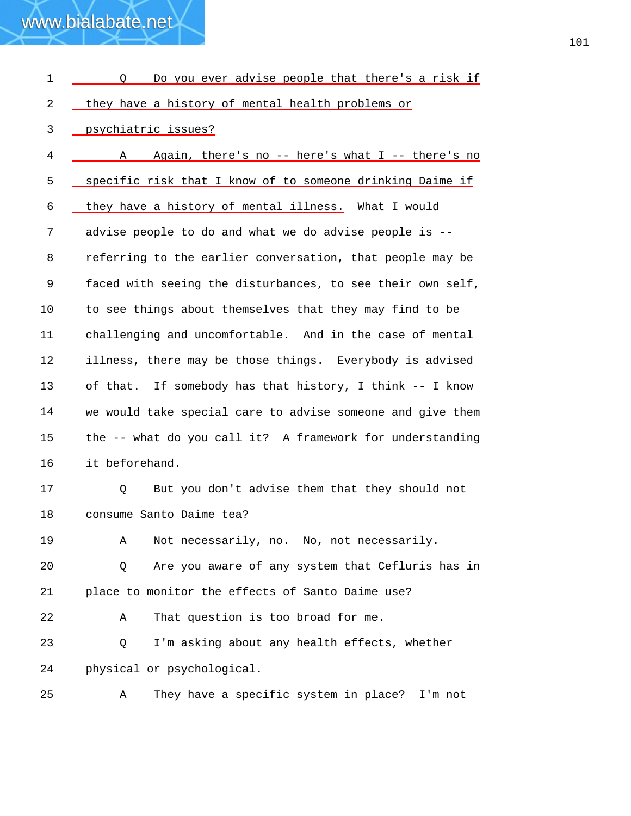| 1  | Do you ever advise people that there's a risk if<br>O      |
|----|------------------------------------------------------------|
| 2  | they have a history of mental health problems or           |
| 3  | psychiatric issues?                                        |
| 4  | Again, there's no -- here's what I -- there's no<br>Α      |
| 5  | specific risk that I know of to someone drinking Daime if  |
| 6  | they have a history of mental illness. What I would        |
| 7  | advise people to do and what we do advise people is --     |
| 8  | referring to the earlier conversation, that people may be  |
| 9  | faced with seeing the disturbances, to see their own self, |
| 10 | to see things about themselves that they may find to be    |
| 11 | challenging and uncomfortable. And in the case of mental   |
| 12 | illness, there may be those things. Everybody is advised   |
| 13 | of that. If somebody has that history, I think -- I know   |
| 14 | we would take special care to advise someone and give them |
| 15 | the -- what do you call it? A framework for understanding  |
| 16 | it beforehand.                                             |
| 17 | But you don't advise them that they should not<br>Q        |
| 18 | consume Santo Daime tea?                                   |
| 19 | Not necessarily, no. No, not necessarily.<br>Α             |
| 20 | Are you aware of any system that Cefluris has in<br>Q      |
| 21 | place to monitor the effects of Santo Daime use?           |
| 22 | That question is too broad for me.<br>Α                    |
| 23 | I'm asking about any health effects, whether<br>Q          |
| 24 | physical or psychological.                                 |
| 25 | They have a specific system in place? I'm not<br>Α         |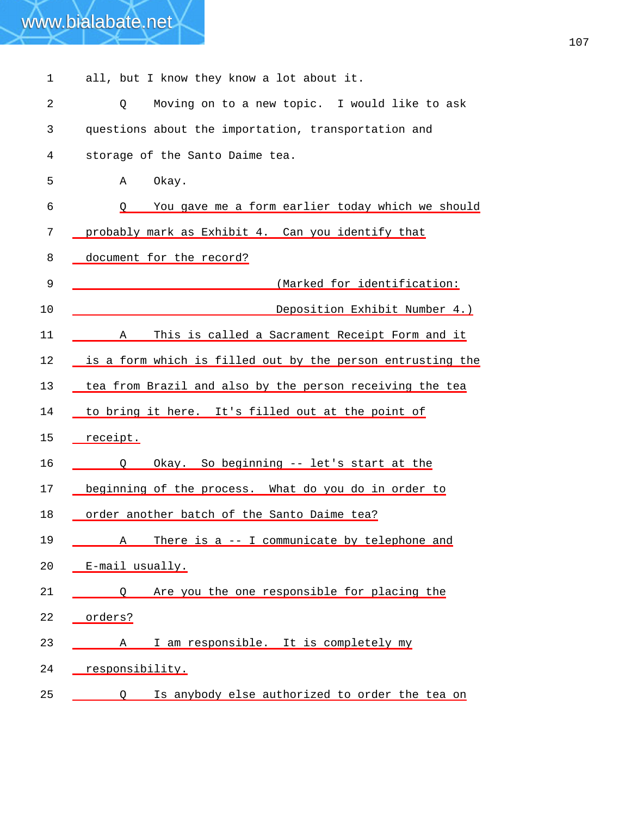| www.bialabate.net |  |  |  |  |                                           |  |
|-------------------|--|--|--|--|-------------------------------------------|--|
|                   |  |  |  |  |                                           |  |
|                   |  |  |  |  | all, but I know they know a lot about it. |  |

| 2           | Moving on to a new topic. I would like to ask<br>Q         |
|-------------|------------------------------------------------------------|
| 3           | questions about the importation, transportation and        |
| 4           | storage of the Santo Daime tea.                            |
| 5           | Okay.<br>Α                                                 |
| 6           | You gave me a form earlier today which we should<br>Q.     |
| 7           | probably mark as Exhibit 4. Can you identify that          |
| 8           | document for the record?                                   |
| $\mathsf 9$ | (Marked for identification:                                |
| 10          | Deposition Exhibit Number 4.)                              |
| 11          | This is called a Sacrament Receipt Form and it<br>Α        |
| 12          | is a form which is filled out by the person entrusting the |
| 13          | tea from Brazil and also by the person receiving the tea   |
| 14          | to bring it here. It's filled out at the point of          |
| 15          | receipt.                                                   |
| 16          | Okay. So beginning -- let's start at the<br>O              |
| 17          | beginning of the process. What do you do in order to       |
| 18          | order another batch of the Santo Daime tea?                |
| 19          | There is a -- I communicate by telephone and<br>Α          |
| 20          | E-mail usually.                                            |
| 21          | Are you the one responsible for placing the<br>$\circ$     |
| 22          | orders?                                                    |
| 23          | I am responsible. It is completely my<br>A                 |
| 24          | responsibility.                                            |
| 25          | Is anybody else authorized to order the tea on<br>$\circ$  |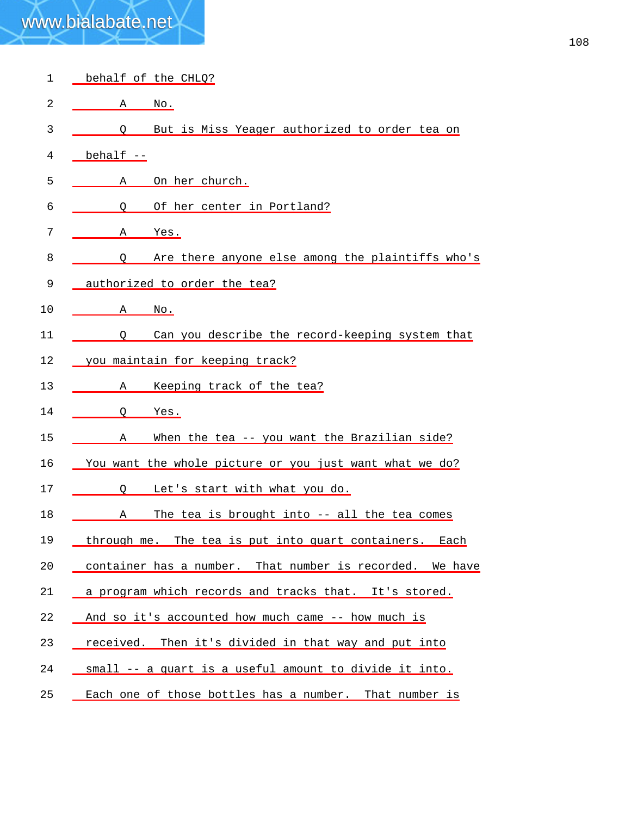| 1  | behalf of the CHLQ?                                       |
|----|-----------------------------------------------------------|
| 2  | Α<br>$\overline{\text{No}}$ .                             |
| 3  | But is Miss Yeager authorized to order tea on<br>O        |
| 4  | behalf --                                                 |
| 5  | On her church.<br>Α                                       |
| 6  | Of her center in Portland?<br>O                           |
| 7  | Yes.<br>Α                                                 |
| 8  | Are there anyone else among the plaintiffs who's<br>O     |
| 9  | authorized to order the tea?                              |
| 10 | Α<br><u>No.</u>                                           |
| 11 | Can you describe the record-keeping system that<br>0      |
| 12 | you maintain for keeping track?                           |
| 13 | Keeping track of the tea?<br>А                            |
| 14 | O<br><u>Yes.</u>                                          |
| 15 | When the tea -- you want the Brazilian side?<br>Α         |
| 16 | You want the whole picture or you just want what we do?   |
| 17 | Let's start with what you do.<br>$\circ$                  |
| 18 | The tea is brought into -- all the tea comes<br>А         |
| 19 | through me. The tea is put into quart containers.<br>Each |
| 20 | container has a number. That number is recorded. We have  |
| 21 | a program which records and tracks that. It's stored.     |
| 22 | And so it's accounted how much came -- how much is        |
| 23 | received. Then it's divided in that way and put into      |
| 24 | small -- a quart is a useful amount to divide it into.    |
| 25 | Each one of those bottles has a number. That number is    |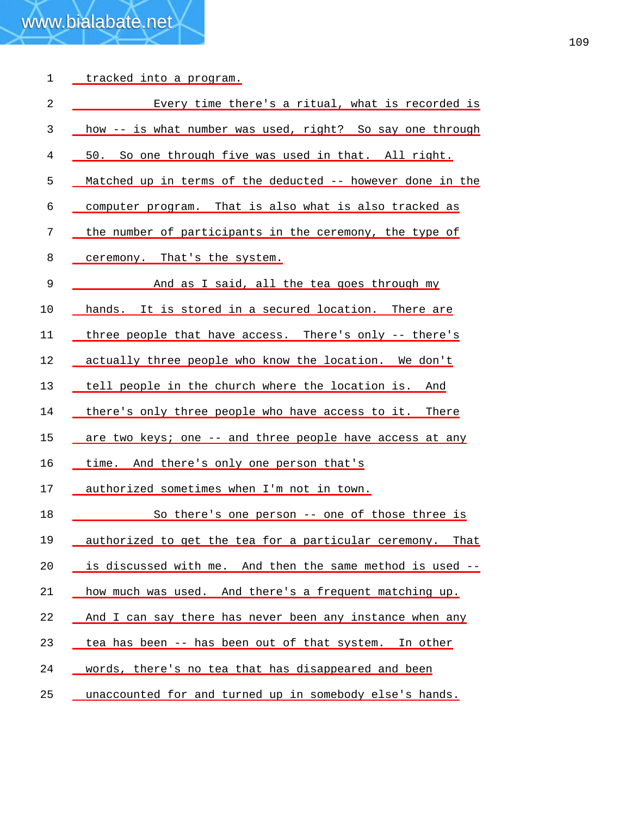| $\mathbf 1$    | <u>tracked into a program.</u>                             |
|----------------|------------------------------------------------------------|
| $\overline{2}$ | Every time there's a ritual, what is recorded is           |
| 3              | how -- is what number was used, right? So say one through  |
| 4              | 50. So one through five was used in that. All right.       |
| 5              | Matched up in terms of the deducted -- however done in the |
| 6              | computer program. That is also what is also tracked as     |
| 7              | the number of participants in the ceremony, the type of    |
| 8              | ceremony. That's the system.                               |
| 9              | And as I said, all the tea goes through my                 |
| 10             | hands. It is stored in a secured location. There are       |
| 11             | three people that have access. There's only -- there's     |
| 12             | actually three people who know the location. We don't      |
| 13             | tell people in the church where the location is. And       |
| 14             | there's only three people who have access to it. There     |
| 15             | are two keys; one -- and three people have access at any   |
| 16             | time. And there's only one person that's                   |
| 17             | authorized sometimes when I'm not in town.                 |
| 18             | So there's one person -- one of those three is             |
| 19             | authorized to get the tea for a particular ceremony. That  |
| 20             | is discussed with me. And then the same method is used --  |
| 21             | how much was used. And there's a frequent matching up.     |
| 22             | And I can say there has never been any instance when any   |
| 23             | tea has been -- has been out of that system. In other      |
| 24             | words, there's no tea that has disappeared and been        |
| 25             | unaccounted for and turned up in somebody else's hands.    |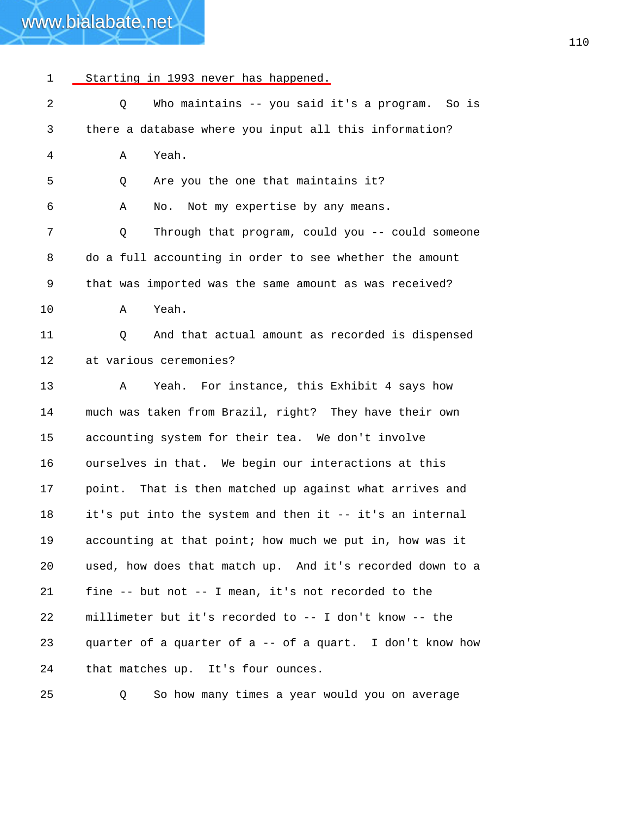#### 1 Starting in 1993 never has happened.

| 2  | Who maintains -- you said it's a program.<br>So is<br>Q   |
|----|-----------------------------------------------------------|
| 3  | there a database where you input all this information?    |
| 4  | Yeah.<br>Α                                                |
| 5  | Are you the one that maintains it?<br>Q                   |
| 6  | No. Not my expertise by any means.<br>Α                   |
| 7  | Through that program, could you -- could someone<br>Q     |
| 8  | do a full accounting in order to see whether the amount   |
| 9  | that was imported was the same amount as was received?    |
| 10 | Yeah.<br>Α                                                |
| 11 | And that actual amount as recorded is dispensed<br>Q      |
| 12 | at various ceremonies?                                    |
| 13 | Yeah. For instance, this Exhibit 4 says how<br>A          |
| 14 | much was taken from Brazil, right? They have their own    |
| 15 | accounting system for their tea. We don't involve         |
| 16 | ourselves in that. We begin our interactions at this      |
| 17 | point. That is then matched up against what arrives and   |
| 18 | it's put into the system and then it -- it's an internal  |
| 19 | accounting at that point; how much we put in, how was it  |
| 20 | used, how does that match up. And it's recorded down to a |
| 21 | fine -- but not -- I mean, it's not recorded to the       |
| 22 | millimeter but it's recorded to -- I don't know -- the    |
| 23 | quarter of a quarter of a -- of a quart. I don't know how |
| 24 | that matches up. It's four ounces.                        |
| 25 | So how many times a year would you on average<br>Q.       |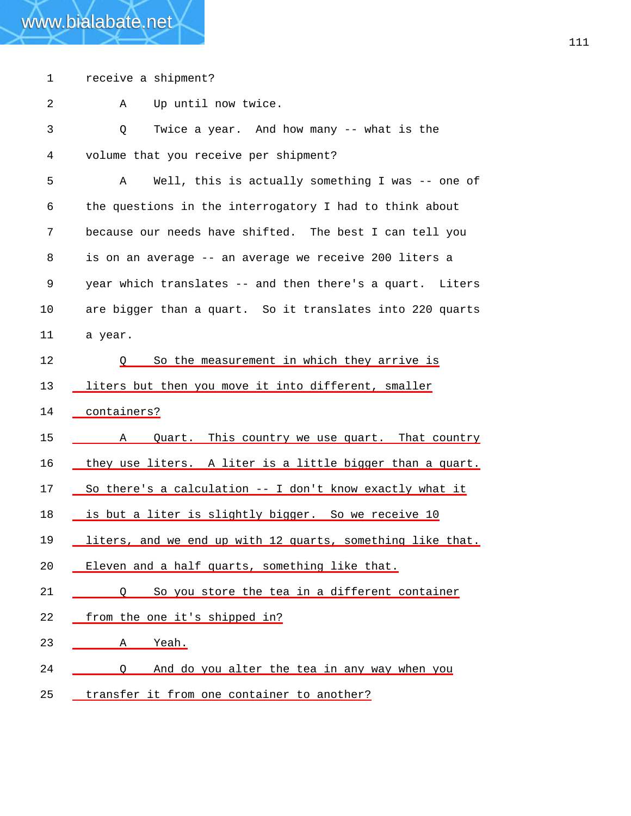| $\mathbf 1$ | receive a shipment?                                        |
|-------------|------------------------------------------------------------|
| 2           | Up until now twice.<br>Α                                   |
| 3           | Twice a year. And how many -- what is the<br>Q             |
| 4           | volume that you receive per shipment?                      |
| 5           | Well, this is actually something I was -- one of<br>A      |
| 6           | the questions in the interrogatory I had to think about    |
| 7           | because our needs have shifted. The best I can tell you    |
| 8           | is on an average -- an average we receive 200 liters a     |
| 9           | year which translates -- and then there's a quart. Liters  |
| 10          | are bigger than a quart. So it translates into 220 quarts  |
| 11          | a year.                                                    |
| 12          | So the measurement in which they arrive is<br>Ő            |
| 13          | liters but then you move it into different, smaller        |
| 14          | containers?                                                |
| 15          | Quart. This country we use quart. That country<br>A        |
| 16          | they use liters. A liter is a little bigger than a quart.  |
| 17          | So there's a calculation -- I don't know exactly what it   |
| 18          | is but a liter is slightly bigger. So we receive 10        |
| 19          | liters, and we end up with 12 quarts, something like that. |
| 20          | Eleven and a half quarts, something like that.             |
| 21          | So you store the tea in a different container<br>$\circ$   |
| 22          | from the one it's shipped in?                              |
| 23          | Α<br><u>Yeah.</u>                                          |
| 24          | And do you alter the tea in any way when you<br>$\circ$    |
| 25          | transfer it from one container to another?                 |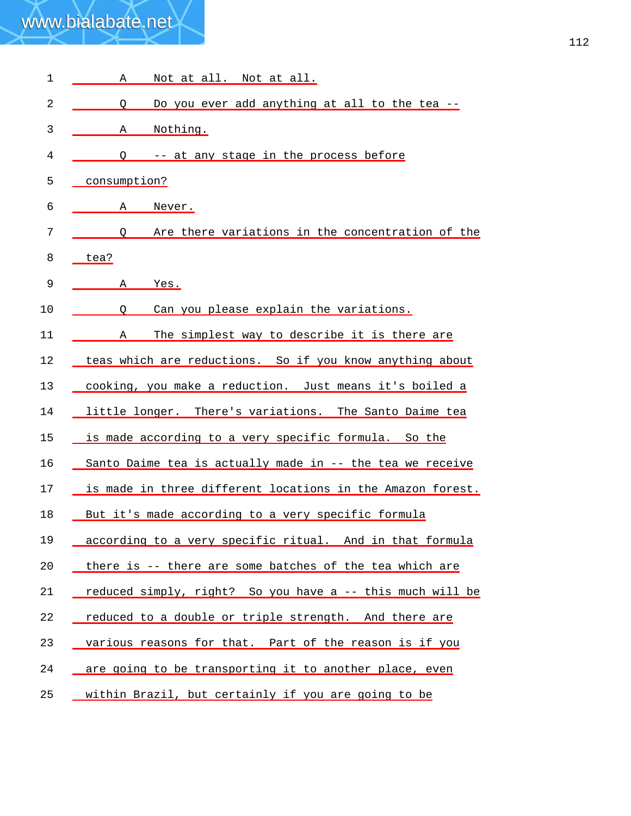| $\mathbf 1$ | Not at all. Not at all.<br>Α                               |
|-------------|------------------------------------------------------------|
| 2           | Do you ever add anything at all to the tea --<br>O         |
| 3           | Nothing.<br>Α                                              |
| 4           | -- at any stage in the process before<br>O                 |
| 5           | consumption?                                               |
| 6           | Never.<br>Α                                                |
| 7           | Are there variations in the concentration of the<br>O      |
| 8           | tea?                                                       |
| 9           | Α<br>Yes.                                                  |
| 10          | Can you please explain the variations.<br>O                |
| 11          | The simplest way to describe it is there are<br>Α          |
| 12          | teas which are reductions. So if you know anything about   |
| 13          | cooking, you make a reduction. Just means it's boiled a    |
| 14          | little longer. There's variations. The Santo Daime tea     |
| 15          | is made according to a very specific formula. So the       |
| 16          | Santo Daime tea is actually made in -- the tea we receive  |
| 17          | is made in three different locations in the Amazon forest. |
| 18          | But it's made according to a very specific formula         |
| 19          | according to a very specific ritual. And in that formula   |
| 20          | there is -- there are some batches of the tea which are    |
| 21          | reduced simply, right? So you have a -- this much will be  |
| 22          | reduced to a double or triple strength. And there are      |
| 23          | various reasons for that. Part of the reason is if you     |
| 24          | are going to be transporting it to another place, even     |
| 25          | within Brazil, but certainly if you are going to be        |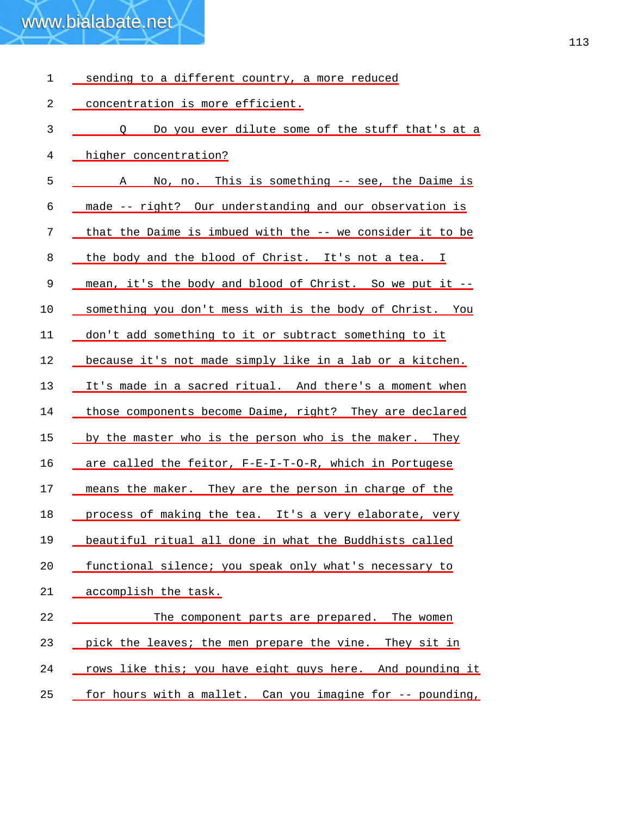| 1  | sending to a different country, a more reduced            |
|----|-----------------------------------------------------------|
| 2  | concentration is more efficient.                          |
| 3  | Q Do you ever dilute some of the stuff that's at a        |
| 4  | higher concentration?                                     |
| 5  | A No, no. This is something -- see, the Daime is          |
| 6  | made -- right? Our understanding and our observation is   |
| 7  | that the Daime is imbued with the -- we consider it to be |
| 8  | the body and the blood of Christ. It's not a tea. I       |
| 9  | mean, it's the body and blood of Christ. So we put it --  |
| 10 | something you don't mess with is the body of Christ. You  |
| 11 | don't add something to it or subtract something to it     |
| 12 | because it's not made simply like in a lab or a kitchen.  |
| 13 | It's made in a sacred ritual. And there's a moment when   |
| 14 | those components become Daime, right? They are declared   |
| 15 | by the master who is the person who is the maker. They    |
| 16 | are called the feitor, F-E-I-T-O-R, which in Portugese    |
| 17 | means the maker. They are the person in charge of the     |
| 18 | process of making the tea. It's a very elaborate, very    |
| 19 | beautiful ritual all done in what the Buddhists called    |
| 20 | functional silence; you speak only what's necessary to    |
| 21 | accomplish the task.                                      |
| 22 | The component parts are prepared. The women               |
| 23 | pick the leaves; the men prepare the vine. They sit in    |
| 24 | rows like this; you have eight guys here. And pounding it |
| 25 | for hours with a mallet. Can you imagine for -- pounding, |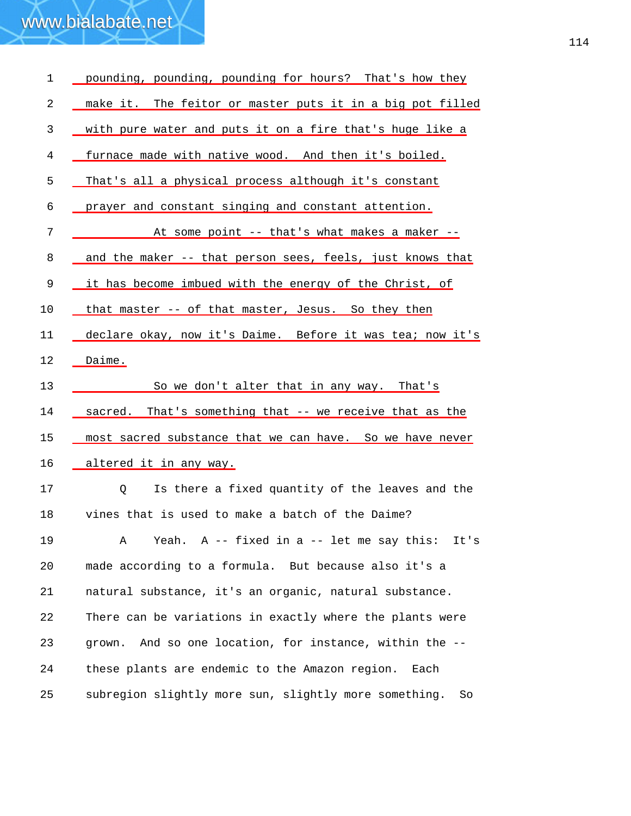| $\mathbf 1$ | pounding, pounding, pounding for hours? That's how they     |
|-------------|-------------------------------------------------------------|
| 2           | make it. The feitor or master puts it in a big pot filled   |
| 3           | with pure water and puts it on a fire that's huge like a    |
| 4           | furnace made with native wood. And then it's boiled.        |
| 5           | That's all a physical process although it's constant        |
| 6           | prayer and constant singing and constant attention.         |
| 7           | At some point -- that's what makes a maker --               |
| 8           | and the maker -- that person sees, feels, just knows that   |
| 9           | it has become imbued with the energy of the Christ, of      |
| 10          | that master -- of that master, Jesus. So they then          |
| 11          | declare okay, now it's Daime. Before it was tea; now it's   |
| 12          | Daime.                                                      |
| 13          | So we don't alter that in any way. That's                   |
| 14          | sacred. That's something that -- we receive that as the     |
| 15          | most sacred substance that we can have. So we have never    |
| 16          | altered it in any way.                                      |
| 17          | Is there a fixed quantity of the leaves and the<br>Q        |
| 18          | vines that is used to make a batch of the Daime?            |
| 19          | Yeah. $A$ -- fixed in a -- let me say this:<br>It's<br>Α    |
| 20          | made according to a formula. But because also it's a        |
| 21          | natural substance, it's an organic, natural substance.      |
| 22          | There can be variations in exactly where the plants were    |
| 23          | And so one location, for instance, within the --<br>grown.  |
| 24          | these plants are endemic to the Amazon region.<br>Each      |
| 25          | subregion slightly more sun, slightly more something.<br>So |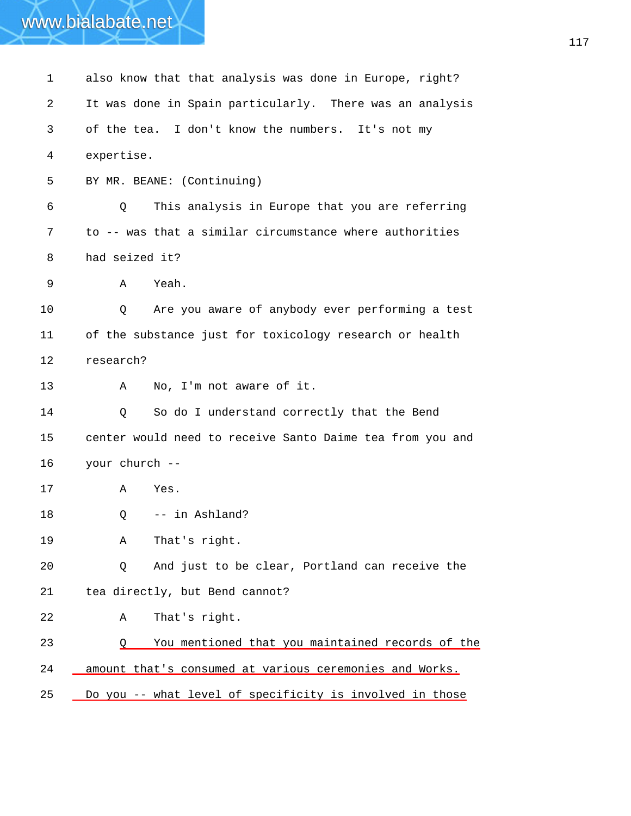| 1  | also know that that analysis was done in Europe, right?   |
|----|-----------------------------------------------------------|
| 2  | It was done in Spain particularly. There was an analysis  |
| 3  | of the tea. I don't know the numbers. It's not my         |
| 4  | expertise.                                                |
| 5  | BY MR. BEANE: (Continuing)                                |
| 6  | This analysis in Europe that you are referring<br>Q       |
| 7  | to -- was that a similar circumstance where authorities   |
| 8  | had seized it?                                            |
| 9  | Yeah.<br>Α                                                |
| 10 | Are you aware of anybody ever performing a test<br>Q      |
| 11 | of the substance just for toxicology research or health   |
| 12 | research?                                                 |
| 13 | No, I'm not aware of it.<br>A                             |
| 14 | So do I understand correctly that the Bend<br>Q           |
| 15 | center would need to receive Santo Daime tea from you and |
| 16 | your church --                                            |
| 17 | Α<br>Yes.                                                 |
| 18 | -- in Ashland?<br>Q                                       |
| 19 | That's right.<br>Α                                        |
| 20 | And just to be clear, Portland can receive the<br>Q       |
| 21 | tea directly, but Bend cannot?                            |
| 22 | That's right.<br>Α                                        |
| 23 | You mentioned that you maintained records of the<br>O     |
| 24 | amount that's consumed at various ceremonies and Works.   |
| 25 | Do you -- what level of specificity is involved in those  |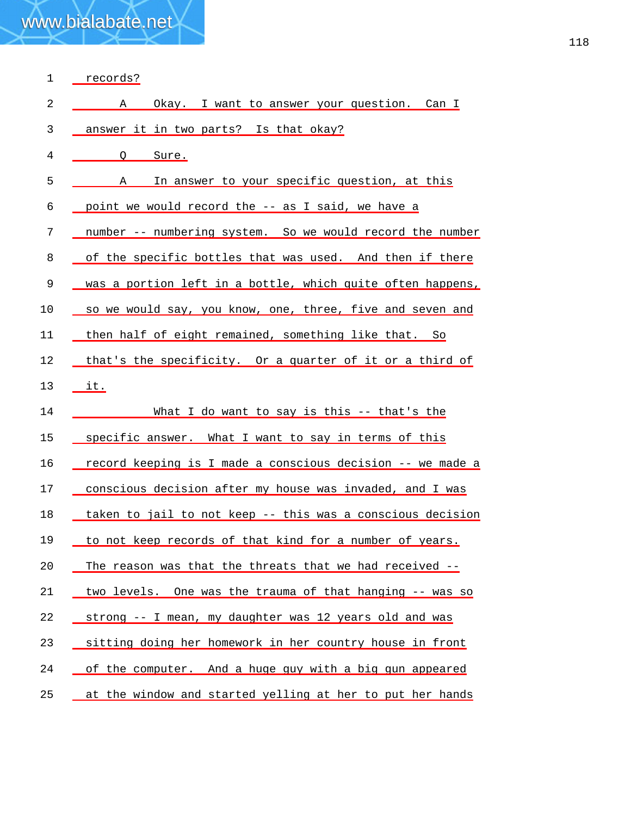| $\mathbf 1$ | records?                                                   |
|-------------|------------------------------------------------------------|
| 2           | Okay. I want to answer your question. Can I<br>Α           |
| 3           | answer it in two parts? Is that okay?                      |
| 4           | $\circ$<br>Sure.                                           |
| 5           | In answer to your specific question, at this<br>A          |
| 6           | point we would record the -- as I said, we have a          |
| 7           | number -- numbering system. So we would record the number  |
| 8           | of the specific bottles that was used. And then if there   |
| 9           | was a portion left in a bottle, which quite often happens, |
| 10          | so we would say, you know, one, three, five and seven and  |
| 11          | then half of eight remained, something like that. So       |
| 12          | that's the specificity. Or a quarter of it or a third of   |
| 13          | it.                                                        |
| 14          | What I do want to say is this -- that's the                |
| 15          | specific answer. What I want to say in terms of this       |
| 16          | record keeping is I made a conscious decision -- we made a |
| 17          | conscious decision after my house was invaded, and I was   |
| 18          | taken to jail to not keep -- this was a conscious decision |
| 19          | to not keep records of that kind for a number of years.    |
| 20          | The reason was that the threats that we had received --    |
| 21          | two levels. One was the trauma of that hanging -- was so   |
| 22          | strong -- I mean, my daughter was 12 years old and was     |
| 23          | sitting doing her homework in her country house in front   |
|             |                                                            |
| 24          | of the computer. And a huge guy with a big gun appeared    |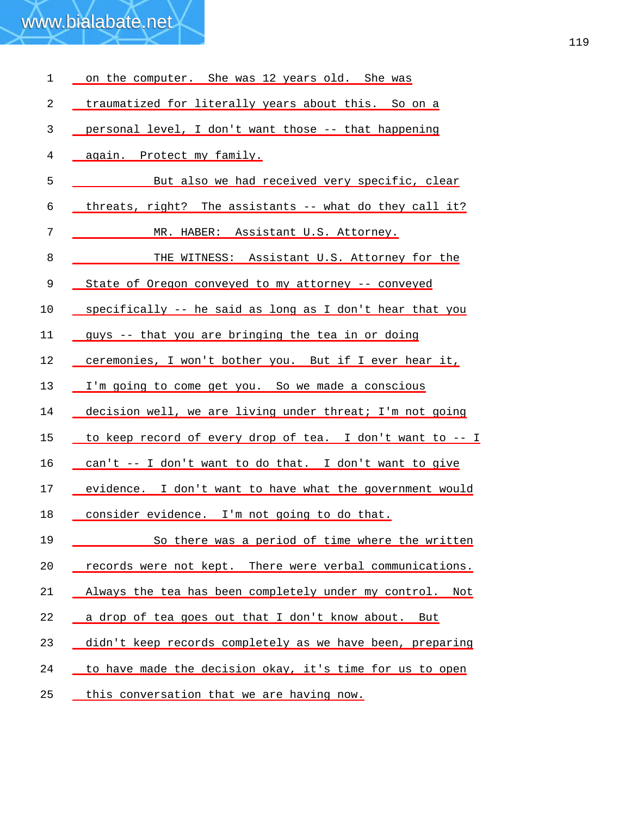| 1  | on the computer. She was 12 years old. She was            |
|----|-----------------------------------------------------------|
| 2  | traumatized for literally years about this. So on a       |
| 3  | personal level, I don't want those -- that happening      |
| 4  | again. Protect my family.                                 |
| 5  | But also we had received very specific, clear             |
| 6  | threats, right? The assistants -- what do they call it?   |
| 7  | MR. HABER: Assistant U.S. Attorney.                       |
| 8  | THE WITNESS: Assistant U.S. Attorney for the              |
| 9  | State of Oregon conveyed to my attorney -- conveyed       |
| 10 | specifically -- he said as long as I don't hear that you  |
| 11 | guys -- that you are bringing the tea in or doing         |
| 12 | ceremonies, I won't bother you. But if I ever hear it,    |
| 13 | I'm going to come get you. So we made a conscious         |
| 14 | decision well, we are living under threat; I'm not going  |
| 15 | to keep record of every drop of tea. I don't want to -- I |
| 16 | can't -- I don't want to do that. I don't want to give    |
| 17 | evidence. I don't want to have what the government would  |
| 18 | consider evidence. I'm not going to do that.              |
| 19 | So there was a period of time where the written           |
| 20 | records were not kept. There were verbal communications.  |
| 21 | Always the tea has been completely under my control. Not  |
| 22 | a drop of tea goes out that I don't know about. But       |
| 23 | didn't keep records completely as we have been, preparing |
| 24 | to have made the decision okay, it's time for us to open  |
| 25 | this conversation that we are having now.                 |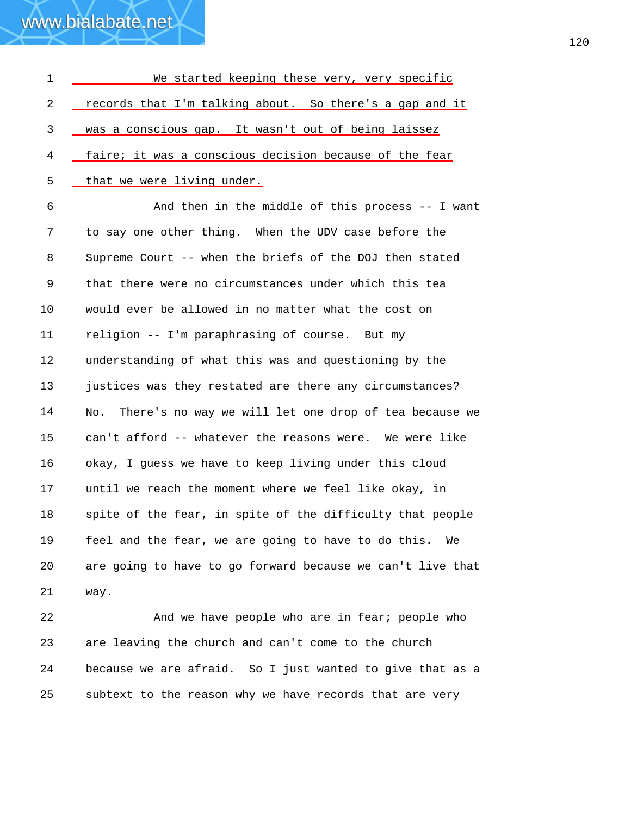| $\mathbf{1}$ | We started keeping these very, very specific                 |
|--------------|--------------------------------------------------------------|
| 2            | records that I'm talking about. So there's a gap and it      |
| 3            | was a conscious gap. It wasn't out of being laissez          |
| 4            | faire; it was a conscious decision because of the fear       |
| 5            | that we were living under.                                   |
| 6            | And then in the middle of this process -- I want             |
| 7            | to say one other thing. When the UDV case before the         |
| 8            | Supreme Court -- when the briefs of the DOJ then stated      |
| 9            | that there were no circumstances under which this tea        |
| 10           | would ever be allowed in no matter what the cost on          |
| 11           | religion -- I'm paraphrasing of course. But my               |
| 12           | understanding of what this was and questioning by the        |
| 13           | justices was they restated are there any circumstances?      |
| 14           | There's no way we will let one drop of tea because we<br>No. |
| 15           | can't afford -- whatever the reasons were. We were like      |
| 16           | okay, I guess we have to keep living under this cloud        |
| 17           | until we reach the moment where we feel like okay, in        |
| 18           | spite of the fear, in spite of the difficulty that people    |
| 19           | feel and the fear, we are going to have to do this.<br>We    |
| 20           | are going to have to go forward because we can't live that   |
| 21           | way.                                                         |
| 22           | And we have people who are in fear; people who               |
| 23           | are leaving the church and can't come to the church          |

24 25 because we are afraid. So I just wanted to give that as a subtext to the reason why we have records that are very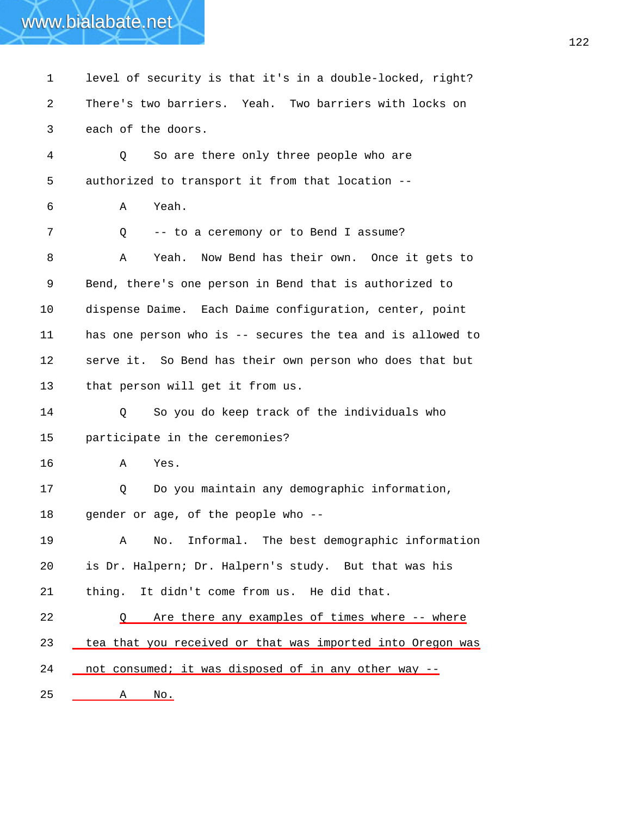#### 1 level of security is that it's in a double-locked, right? 2 3 4 5 6 7 8 9 10 11 12 13 14 15 16 17 18 19 20 21 There's two barriers. Yeah. Two barriers with locks on each of the doors. Q So are there only three people who are authorized to transport it from that location -- A Yeah. Q -- to a ceremony or to Bend I assume? A Yeah. Now Bend has their own. Once it gets to Bend, there's one person in Bend that is authorized to dispense Daime. Each Daime configuration, center, point has one person who is -- secures the tea and is allowed to serve it. So Bend has their own person who does that but that person will get it from us. Q So you do keep track of the individuals who participate in the ceremonies? A Yes. Q Do you maintain any demographic information, gender or age, of the people who -- A No. Informal. The best demographic information is Dr. Halpern; Dr. Halpern's study. But that was his thing. It didn't come from us. He did that. 22 Q Are there any examples of times where -- where 23 tea that you received or that was imported into Oregon was 24 \_ not consumed; it was disposed of in any other way --25 A No.

www.bialabate.net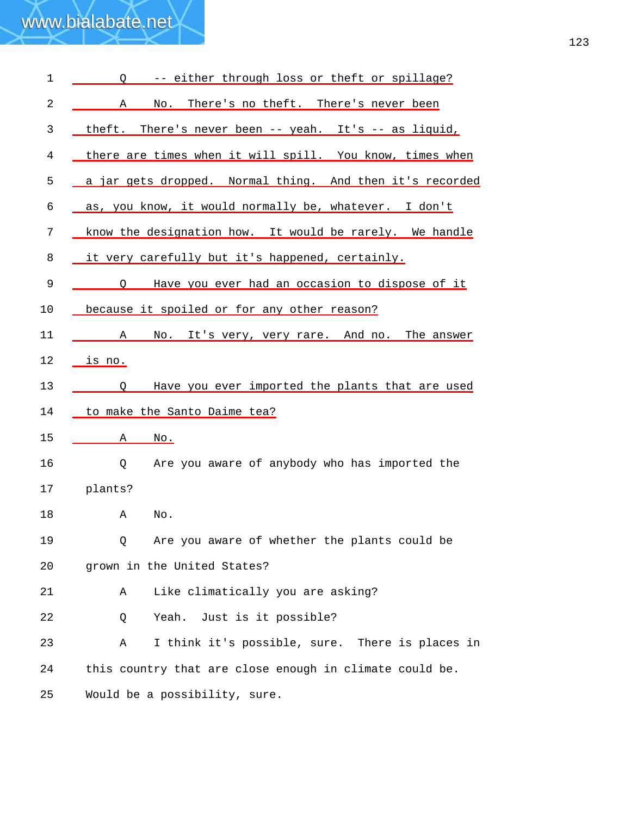| $\mathbf 1$ | -- either through loss or theft or spillage?<br>$\circ$      |
|-------------|--------------------------------------------------------------|
| 2           | No. There's no theft. There's never been<br>A                |
| 3           | theft. There's never been -- yeah. It's -- as liquid,        |
| 4           | there are times when it will spill. You know, times when     |
| 5           | a jar gets dropped. Normal thing. And then it's recorded     |
| 6           | as, you know, it would normally be, whatever. I don't        |
| 7           | know the designation how. It would be rarely. We handle      |
| 8           | it very carefully but it's happened, certainly.              |
| 9           | Have you ever had an occasion to dispose of it<br>O          |
| 10          | because it spoiled or for any other reason?                  |
| 11          | No. It's very, very rare. And no. The answer<br>$\mathbf{A}$ |
| 12          | <u>is no.</u>                                                |
| 13          | Have you ever imported the plants that are used<br>O         |
| 14          | to make the Santo Daime tea?                                 |
| 15          | Α<br>$\overline{\text{No}}$ .                                |
| 16          | Are you aware of anybody who has imported the<br>Q           |
| 17          | plants?                                                      |
| 18          | Α<br>No.                                                     |
| 19          | Are you aware of whether the plants could be<br>Q.           |
| 20          | grown in the United States?                                  |
| 21          | Like climatically you are asking?<br>Α                       |
| 22          | Yeah.<br>Just is it possible?<br>Q                           |
| 23          | I think it's possible, sure. There is places in<br>Α         |
| 24          | this country that are close enough in climate could be.      |
| 25          | Would be a possibility, sure.                                |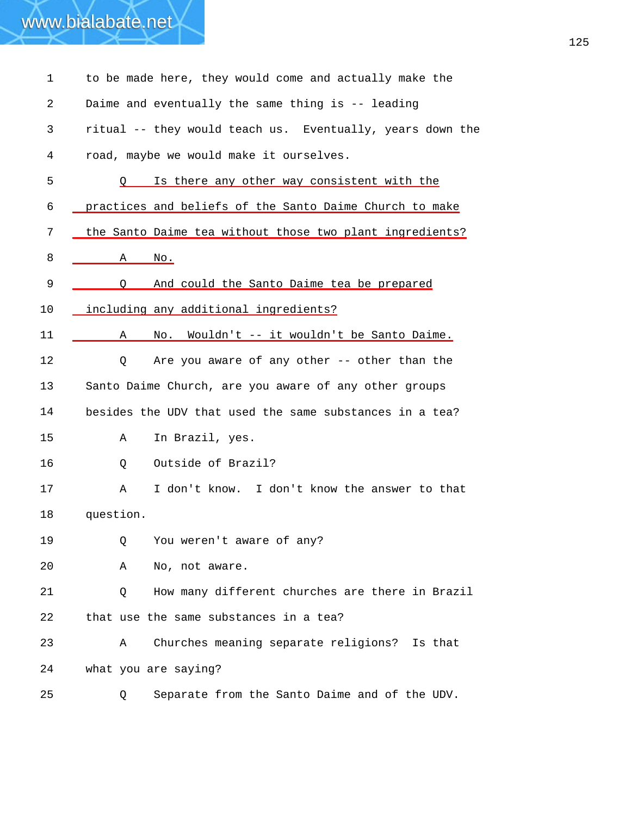| 1  | to be made here, they would come and actually make the    |
|----|-----------------------------------------------------------|
| 2  | Daime and eventually the same thing is -- leading         |
| 3  | ritual -- they would teach us. Eventually, years down the |
| 4  | road, maybe we would make it ourselves.                   |
| 5  | Is there any other way consistent with the                |
| 6  | practices and beliefs of the Santo Daime Church to make   |
| 7  | the Santo Daime tea without those two plant ingredients?  |
| 8  | No.<br>Α                                                  |
| 9  | And could the Santo Daime tea be prepared<br>$\circ$      |
| 10 | including any additional ingredients?                     |
| 11 | Wouldn't -- it wouldn't be Santo Daime.<br>Α<br>No.       |
| 12 | Are you aware of any other -- other than the<br>Q         |
| 13 | Santo Daime Church, are you aware of any other groups     |
| 14 | besides the UDV that used the same substances in a tea?   |
| 15 | In Brazil, yes.<br>Α                                      |
| 16 | Outside of Brazil?<br>Q                                   |
| 17 | I don't know. I don't know the answer to that<br>Α        |
| 18 | question.                                                 |
| 19 | You weren't aware of any?<br>Q                            |
| 20 | No, not aware.<br>Α                                       |
| 21 | How many different churches are there in Brazil<br>Q      |
| 22 | that use the same substances in a tea?                    |
| 23 | Churches meaning separate religions? Is that<br>Α         |
| 24 | what you are saying?                                      |
| 25 | Separate from the Santo Daime and of the UDV.<br>Q.       |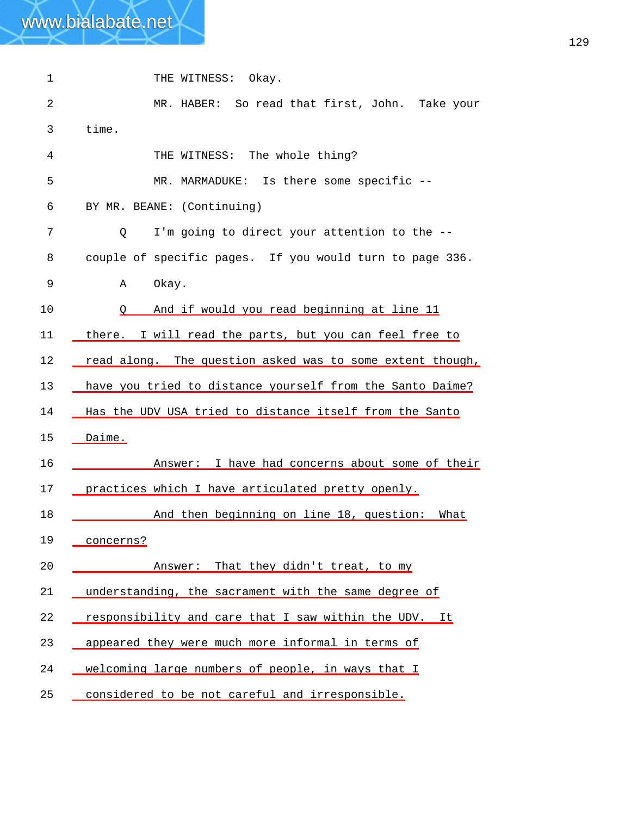| $\mathbf{1}$ | THE WITNESS: Okay.                                                |
|--------------|-------------------------------------------------------------------|
| 2            | MR. HABER: So read that first, John. Take your                    |
| 3            | time.                                                             |
| 4            | THE WITNESS: The whole thing?                                     |
| 5            | MR. MARMADUKE: Is there some specific --                          |
| 6            | BY MR. BEANE: (Continuing)                                        |
| 7            | I'm going to direct your attention to the --<br>Q                 |
| 8            | couple of specific pages. If you would turn to page 336.          |
| 9            | Okay.<br>Α                                                        |
| 10           | And if would you read beginning at line 11<br>$\circ$ . $\circ$ . |
| 11           | there. I will read the parts, but you can feel free to            |
| 12           | read along. The question asked was to some extent though,         |
| 13           | have you tried to distance yourself from the Santo Daime?         |
| 14           | Has the UDV USA tried to distance itself from the Santo           |
| 15           | Daime.                                                            |
| 16           | Answer: I have had concerns about some of their                   |
| 17           | practices which I have articulated pretty openly.                 |
| 18           | And then beginning on line 18, question: What                     |
| 19           | concerns?                                                         |
| 20           | That they didn't treat, to my<br>Answer:                          |
| 21           | understanding, the sacrament with the same degree of              |
| 22           | responsibility and care that I saw within the UDV.<br>It          |
| 23           | appeared they were much more informal in terms of                 |
| 24           | welcoming large numbers of people, in ways that I                 |
| 25           | considered to be not careful and irresponsible.                   |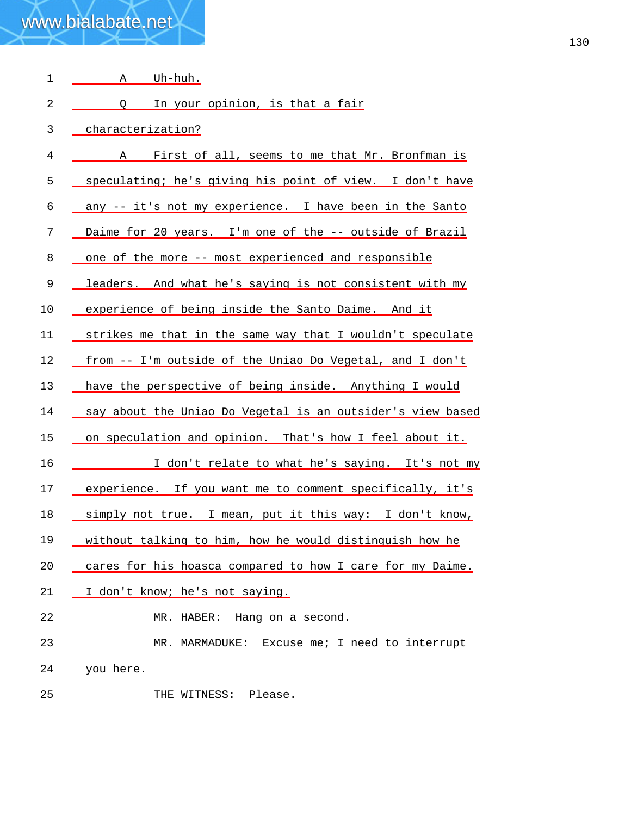| 1  | Uh-huh.<br>Α                                               |
|----|------------------------------------------------------------|
| 2  | Q In your opinion, is that a fair                          |
| 3  | characterization?                                          |
| 4  | First of all, seems to me that Mr. Bronfman is<br>A        |
| 5  | speculating; he's giving his point of view. I don't have   |
| 6  | any -- it's not my experience. I have been in the Santo    |
| 7  | Daime for 20 years. I'm one of the -- outside of Brazil    |
| 8  | one of the more -- most experienced and responsible        |
| 9  | leaders. And what he's saying is not consistent with my    |
| 10 | experience of being inside the Santo Daime. And it         |
| 11 | strikes me that in the same way that I wouldn't speculate  |
| 12 | from -- I'm outside of the Uniao Do Vegetal, and I don't   |
| 13 | have the perspective of being inside. Anything I would     |
| 14 | say about the Uniao Do Vegetal is an outsider's view based |
| 15 | on speculation and opinion. That's how I feel about it.    |
| 16 | I don't relate to what he's saying. It's not my            |
| 17 | experience. If you want me to comment specifically, it's   |
| 18 | simply not true. I mean, put it this way: I don't know,    |
| 19 | without talking to him, how he would distinguish how he    |
| 20 | cares for his hoasca compared to how I care for my Daime.  |
| 21 | I don't know; he's not saying.                             |
| 22 | MR. HABER: Hang on a second.                               |
| 23 | MR. MARMADUKE: Excuse me; I need to interrupt              |
| 24 | you here.                                                  |
| 25 | THE WITNESS: Please.                                       |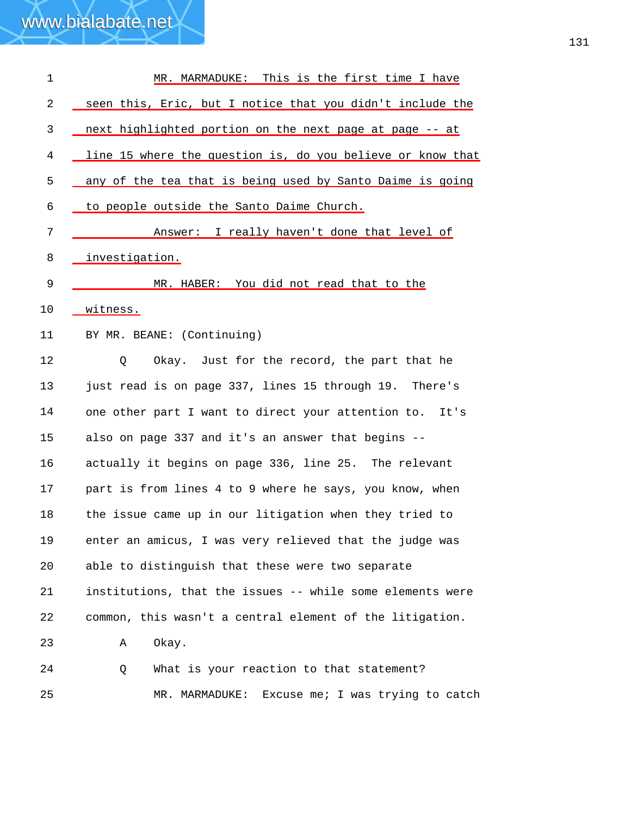| $\mathbf 1$    | MR. MARMADUKE: This is the first time I have               |
|----------------|------------------------------------------------------------|
| $\overline{c}$ | seen this, Eric, but I notice that you didn't include the  |
| 3              | next highlighted portion on the next page at page -- at    |
| 4              | line 15 where the question is, do you believe or know that |
| 5              | any of the tea that is being used by Santo Daime is going  |
| 6              | to people outside the Santo Daime Church.                  |
| 7              | Answer: I really haven't done that level of                |
| 8              | investigation.                                             |
| 9              | MR. HABER: You did not read that to the                    |
| 10             | witness.                                                   |
| 11             | BY MR. BEANE: (Continuing)                                 |
| 12             | Okay. Just for the record, the part that he<br>Q           |
| 13             | just read is on page 337, lines 15 through 19. There's     |
| 14             | one other part I want to direct your attention to. It's    |
| 15             | also on page 337 and it's an answer that begins --         |
| 16             | actually it begins on page 336, line 25. The relevant      |
| 17             | part is from lines 4 to 9 where he says, you know, when    |
| 18             | the issue came up in our litigation when they tried to     |
| 19             | enter an amicus, I was very relieved that the judge was    |
| 20             | able to distinguish that these were two separate           |
| 21             | institutions, that the issues -- while some elements were  |
| 22             | common, this wasn't a central element of the litigation.   |
| 23             | Okay.<br>Α                                                 |
| 24             | What is your reaction to that statement?<br>Q              |
| 25             | Excuse me; I was trying to catch<br>MR. MARMADUKE:         |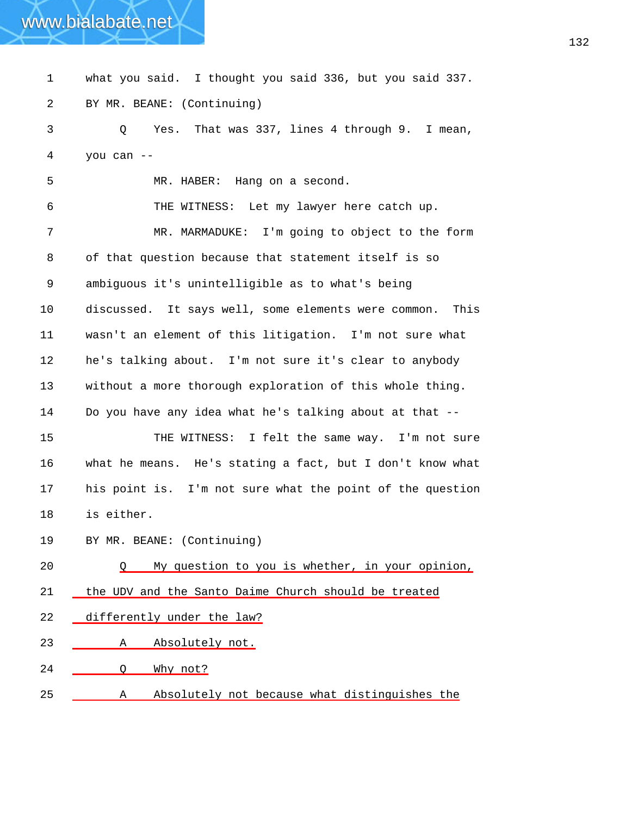### 1 what you said. I thought you said 336, but you said 337. 2 3 4 5 6 7 8 9 10 11 12 13 14 15 16 17 18 19 BY MR. BEANE: (Continuing) Q Yes. That was 337, lines 4 through 9. I mean, you can -- MR. HABER: Hang on a second. THE WITNESS: Let my lawyer here catch up. MR. MARMADUKE: I'm going to object to the form of that question because that statement itself is so ambiguous it's unintelligible as to what's being discussed. It says well, some elements were common. This wasn't an element of this litigation. I'm not sure what he's talking about. I'm not sure it's clear to anybody without a more thorough exploration of this whole thing. Do you have any idea what he's talking about at that -- THE WITNESS: I felt the same way. I'm not sure what he means. He's stating a fact, but I don't know what his point is. I'm not sure what the point of the question is either. BY MR. BEANE: (Continuing) 20 Q My question to you is whether, in your opinion, 21 the UDV and the Santo Daime Church should be treated 22 differently under the law? 23 A Absolutely not. 24 Q Why not? 25 A Absolutely not because what distinguishes the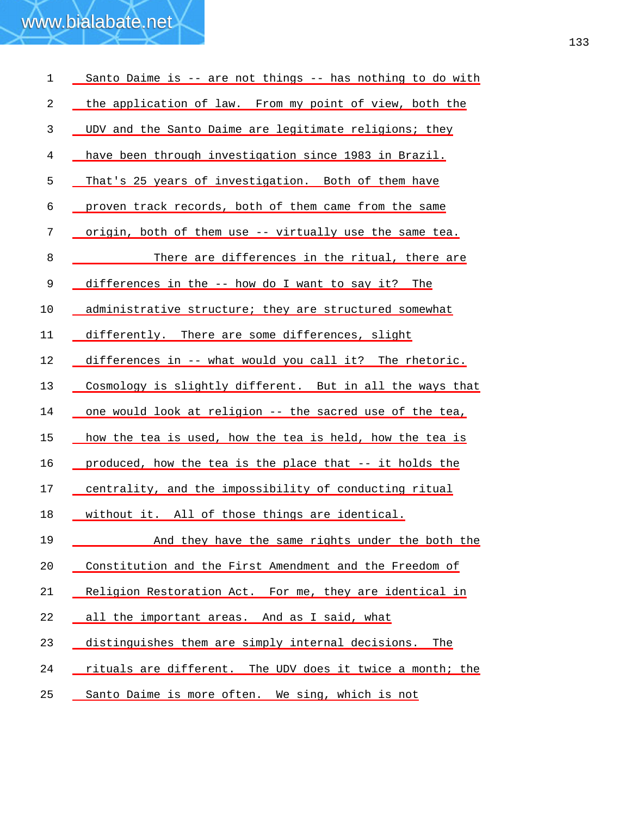| $\mathbf 1$ | Santo Daime is -- are not things -- has nothing to do with |
|-------------|------------------------------------------------------------|
| 2           | the application of law. From my point of view, both the    |
| 3           | UDV and the Santo Daime are legitimate religions; they     |
| 4           | have been through investigation since 1983 in Brazil.      |
| 5           | That's 25 years of investigation. Both of them have        |
| 6           | proven track records, both of them came from the same      |
| 7           | origin, both of them use -- virtually use the same tea.    |
| 8           | There are differences in the ritual, there are             |
| 9           | differences in the -- how do I want to say it? The         |
| 10          | administrative structure; they are structured somewhat     |
| 11          | differently. There are some differences, slight            |
| 12          | differences in -- what would you call it? The rhetoric.    |
| 13          | Cosmology is slightly different. But in all the ways that  |
| 14          | one would look at religion -- the sacred use of the tea,   |
| 15          | how the tea is used, how the tea is held, how the tea is   |
| 16          | produced, how the tea is the place that -- it holds the    |
| 17          | centrality, and the impossibility of conducting ritual     |
| 18          | without it. All of those things are identical.             |
| 19          | And they have the same rights under the both the           |
| 20          | Constitution and the First Amendment and the Freedom of    |
| 21          | Religion Restoration Act. For me, they are identical in    |
| 22          | all the important areas. And as I said, what               |
| 23          | distinguishes them are simply internal decisions.<br>The   |
| 24          | rituals are different. The UDV does it twice a month; the  |
| 25          | Santo Daime is more often. We sing, which is not           |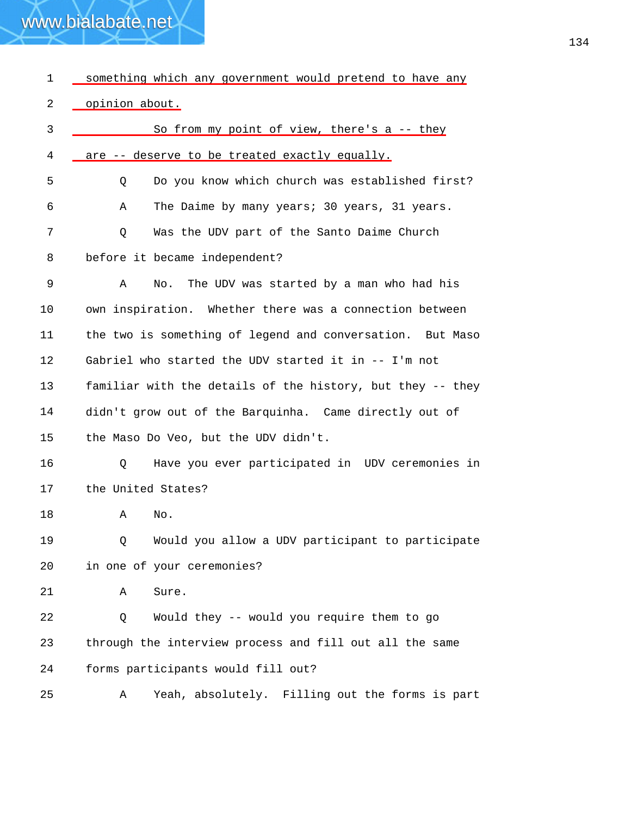| 1          | something which any government would pretend to have any   |
|------------|------------------------------------------------------------|
| $\sqrt{2}$ | opinion about.                                             |
| 3          | So from my point of view, there's a -- they                |
| 4          | are -- deserve to be treated exactly equally.              |
| 5          | Do you know which church was established first?<br>Q       |
| 6          | The Daime by many years; 30 years, 31 years.<br>Α          |
| 7          | Was the UDV part of the Santo Daime Church<br>Q            |
| 8          | before it became independent?                              |
| 9          | The UDV was started by a man who had his<br>Α<br>No.       |
| 10         | own inspiration. Whether there was a connection between    |
| 11         | the two is something of legend and conversation. But Maso  |
| 12         | Gabriel who started the UDV started it in -- I'm not       |
| 13         | familiar with the details of the history, but they -- they |
| 14         | didn't grow out of the Barquinha. Came directly out of     |
| 15         | the Maso Do Veo, but the UDV didn't.                       |
| 16         | Have you ever participated in UDV ceremonies in<br>Q       |
| 17         | the United States?                                         |
| 18         | Α<br>No.                                                   |
| 19         | Would you allow a UDV participant to participate<br>Q      |
| 20         | in one of your ceremonies?                                 |
| 21         | Sure.<br>Α                                                 |
| 22         | Would they -- would you require them to go<br>Q            |
| 23         | through the interview process and fill out all the same    |
| 24         | forms participants would fill out?                         |
| 25         | Yeah, absolutely. Filling out the forms is part<br>Α       |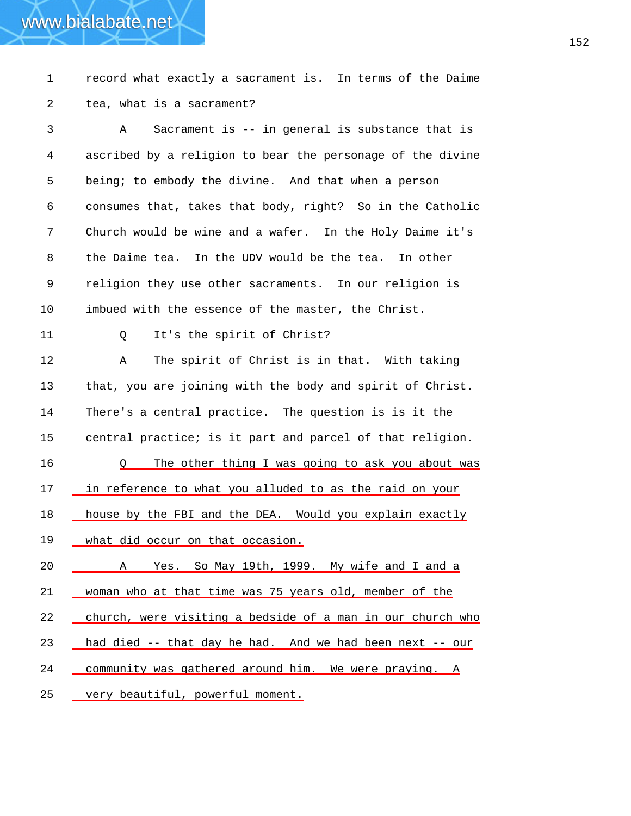1 record what exactly a sacrament is. In terms of the Daime 2 tea, what is a sacrament?

www.bialabate.net

3 4 5 6 7 8 9 10 11 12 13 14 15 A Sacrament is -- in general is substance that is ascribed by a religion to bear the personage of the divine being; to embody the divine. And that when a person consumes that, takes that body, right? So in the Catholic Church would be wine and a wafer. In the Holy Daime it's the Daime tea. In the UDV would be the tea. In other religion they use other sacraments. In our religion is imbued with the essence of the master, the Christ. Q It's the spirit of Christ? A The spirit of Christ is in that. With taking that, you are joining with the body and spirit of Christ. There's a central practice. The question is is it the central practice; is it part and parcel of that religion. 16 Q The other thing I was going to ask you about was 17 in reference to what you alluded to as the raid on your 18 house by the FBI and the DEA. Would you explain exactly 19 what did occur on that occasion. 20 \_\_\_\_\_\_\_ A Yes. So May 19th, 1999. My wife and I and a 21 woman who at that time was 75 years old, member of the 22 church, were visiting a bedside of a man in our church who 23 had died -- that day he had. And we had been next -- our 24 community was gathered around him. We were praying. A 25 very beautiful, powerful moment.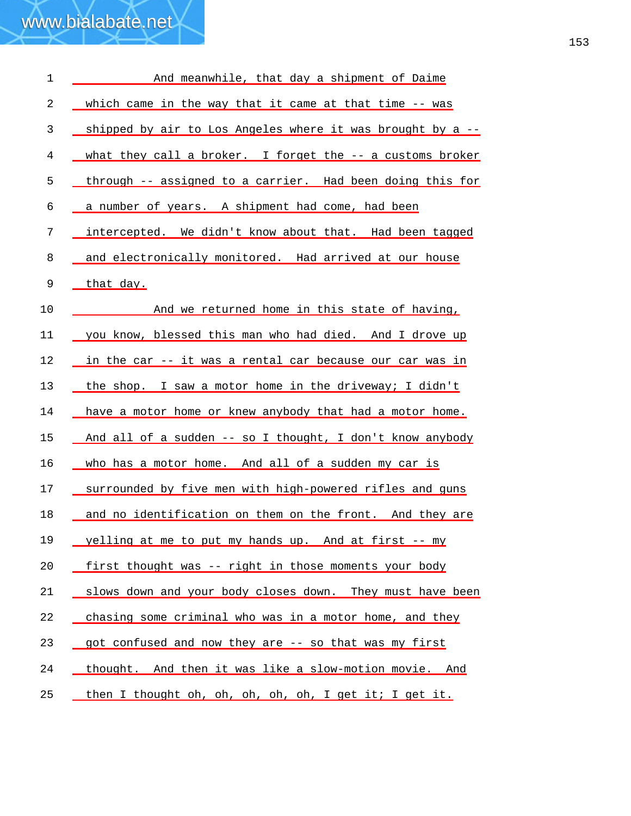| $\mathbf 1$ | And meanwhile, that day a shipment of Daime                |
|-------------|------------------------------------------------------------|
| 2           | which came in the way that it came at that time -- was     |
| 3           | shipped by air to Los Angeles where it was brought by a -- |
| 4           | what they call a broker. I forget the -- a customs broker  |
| 5           | through -- assigned to a carrier. Had been doing this for  |
| 6           | a number of years. A shipment had come, had been           |
| 7           | intercepted. We didn't know about that. Had been tagged    |
| 8           | and electronically monitored. Had arrived at our house     |
| 9           | that day.                                                  |
| 10          | And we returned home in this state of having,              |
| 11          | you know, blessed this man who had died. And I drove up    |
| 12          | in the car -- it was a rental car because our car was in   |
| 13          | the shop. I saw a motor home in the driveway; I didn't     |
| 14          | have a motor home or knew anybody that had a motor home.   |
| 15          | And all of a sudden -- so I thought, I don't know anybody  |
| 16          | who has a motor home. And all of a sudden my car is        |
| 17          | surrounded by five men with high-powered rifles and guns   |
| 18          | and no identification on them on the front. And they are   |
| 19          | yelling at me to put my hands up. And at first -- my       |
| 20          | first thought was -- right in those moments your body      |
| 21          | slows down and your body closes down. They must have been  |
| 22          | chasing some criminal who was in a motor home, and they    |
| 23          | got confused and now they are -- so that was my first      |
| 24          | thought. And then it was like a slow-motion movie. And     |
| 25          | then I thought oh, oh, oh, oh, oh, I get it; I get it.     |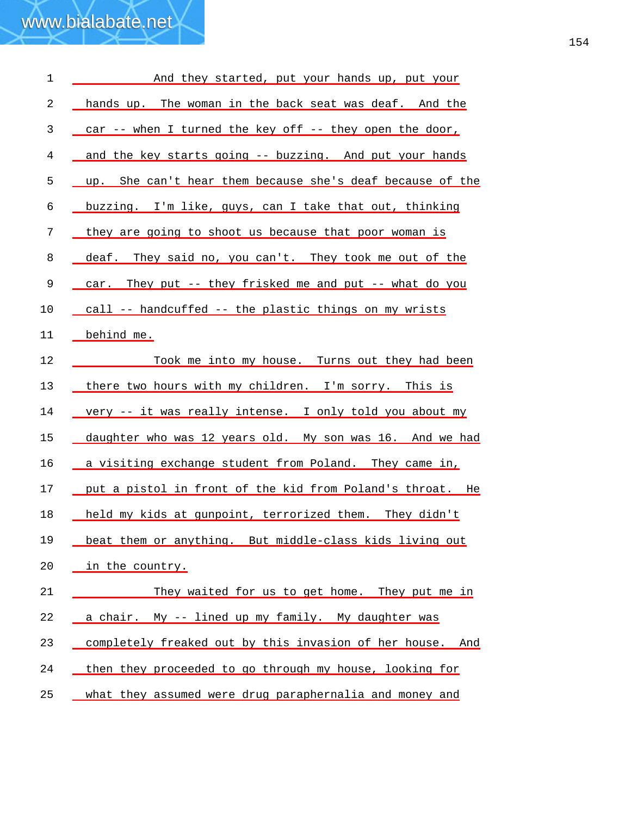| $\mathbf 1$ | And they started, put your hands up, put your             |
|-------------|-----------------------------------------------------------|
| 2           | hands up. The woman in the back seat was deaf. And the    |
| 3           | car -- when I turned the key off -- they open the door,   |
| 4           | and the key starts going -- buzzing. And put your hands   |
| 5           | up. She can't hear them because she's deaf because of the |
| 6           | buzzing. I'm like, guys, can I take that out, thinking    |
| 7           | they are going to shoot us because that poor woman is     |
| 8           | deaf. They said no, you can't. They took me out of the    |
| $\mathsf 9$ | car. They put -- they frisked me and put -- what do you   |
| 10          | call -- handcuffed -- the plastic things on my wrists     |
| 11          | behind me.                                                |
| 12          | Took me into my house. Turns out they had been            |
| 13          | there two hours with my children. I'm sorry. This is      |
| 14          | very -- it was really intense. I only told you about my   |
| 15          | daughter who was 12 years old. My son was 16. And we had  |
| 16          | a visiting exchange student from Poland. They came in,    |
| 17          | put a pistol in front of the kid from Poland's throat. He |
| 18          | held my kids at gunpoint, terrorized them. They didn't    |
| 19          | beat them or anything. But middle-class kids living out   |
| 20          | in the country.                                           |
| 21          | They waited for us to get home. They put me in            |
| 22          | a chair. My -- lined up my family. My daughter was        |
| 23          | completely freaked out by this invasion of her house. And |
| 24          | then they proceeded to go through my house, looking for   |
| 25          | what they assumed were drug paraphernalia and money and   |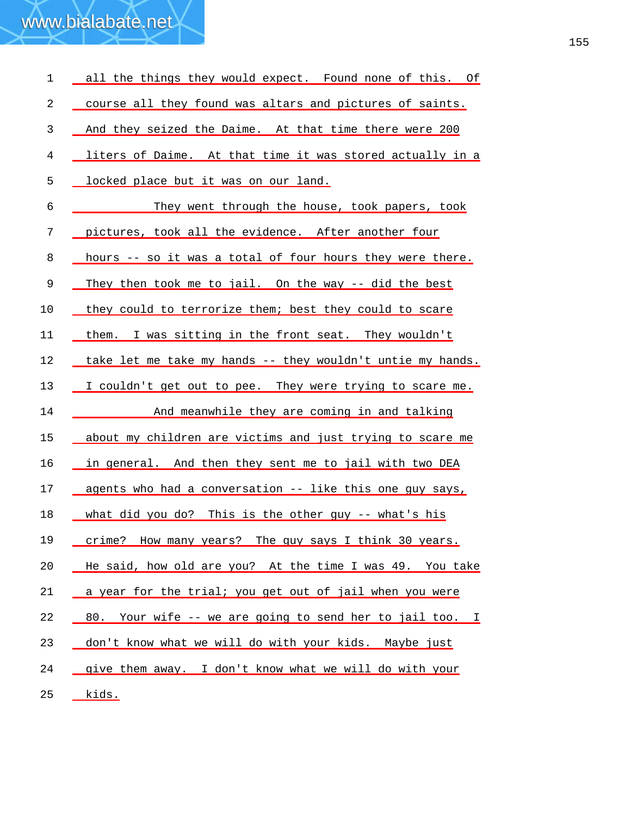| 1  | all the things they would expect. Found none of this. Of    |
|----|-------------------------------------------------------------|
| 2  | course all they found was altars and pictures of saints.    |
| 3  | And they seized the Daime. At that time there were 200      |
| 4  | liters of Daime. At that time it was stored actually in a   |
| 5  | locked place but it was on our land.                        |
| 6  | They went through the house, took papers, took              |
| 7  | pictures, took all the evidence. After another four         |
| 8  | hours -- so it was a total of four hours they were there.   |
| 9  | They then took me to jail. On the way -- did the best       |
| 10 | they could to terrorize them; best they could to scare      |
| 11 | them. I was sitting in the front seat. They wouldn't        |
| 12 | take let me take my hands -- they wouldn't untie my hands.  |
| 13 | I couldn't get out to pee. They were trying to scare me.    |
| 14 | And meanwhile they are coming in and talking                |
| 15 | about my children are victims and just trying to scare me   |
| 16 | in general. And then they sent me to jail with two DEA      |
| 17 | agents who had a conversation -- like this one guy says,    |
| 18 | what did you do? This is the other guy -- what's his        |
| 19 | crime? How many years? The guy says I think 30 years.       |
| 20 | He said, how old are you? At the time I was 49. You take    |
| 21 | a year for the trial; you get out of jail when you were     |
| 22 | Your wife -- we are going to send her to jail too. I<br>80. |
| 23 | don't know what we will do with your kids. Maybe just       |
| 24 | give them away. I don't know what we will do with your      |
| 25 | <u>kids.</u>                                                |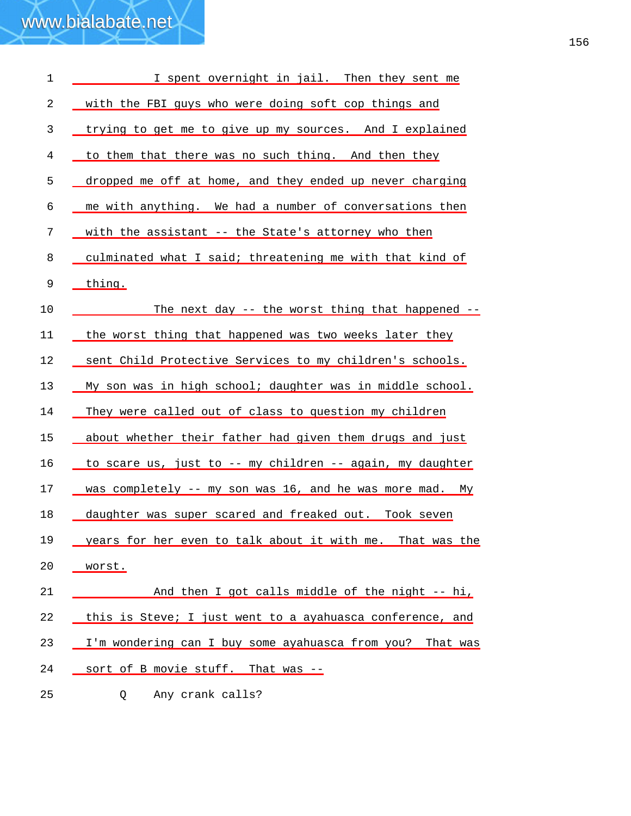| $\mathbf 1$ | I spent overnight in jail. Then they sent me              |
|-------------|-----------------------------------------------------------|
| 2           | with the FBI guys who were doing soft cop things and      |
| 3           | trying to get me to give up my sources. And I explained   |
| 4           | to them that there was no such thing. And then they       |
| 5           | dropped me off at home, and they ended up never charging  |
| 6           | me with anything. We had a number of conversations then   |
| 7           | with the assistant -- the State's attorney who then       |
| 8           | culminated what I said; threatening me with that kind of  |
| 9           | thing.                                                    |
| 10          | The next day -- the worst thing that happened --          |
| 11          | the worst thing that happened was two weeks later they    |
| 12          | sent Child Protective Services to my children's schools.  |
| 13          | My son was in high school; daughter was in middle school. |
| 14          | They were called out of class to question my children     |
| 15          | about whether their father had given them drugs and just  |
| 16          | to scare us, just to -- my children -- again, my daughter |
| 17          | was completely -- my son was 16, and he was more mad. My  |
| 18          | daughter was super scared and freaked out. Took seven     |
| 19          | years for her even to talk about it with me. That was the |
| 20          | worst.                                                    |
| 21          | And then I got calls middle of the night -- hi,           |
| 22          | this is Steve; I just went to a ayahuasca conference, and |
| 23          | I'm wondering can I buy some ayahuasca from you? That was |
| 24          | sort of B movie stuff. That was --                        |
| 25          | Any crank calls?<br>Q.                                    |